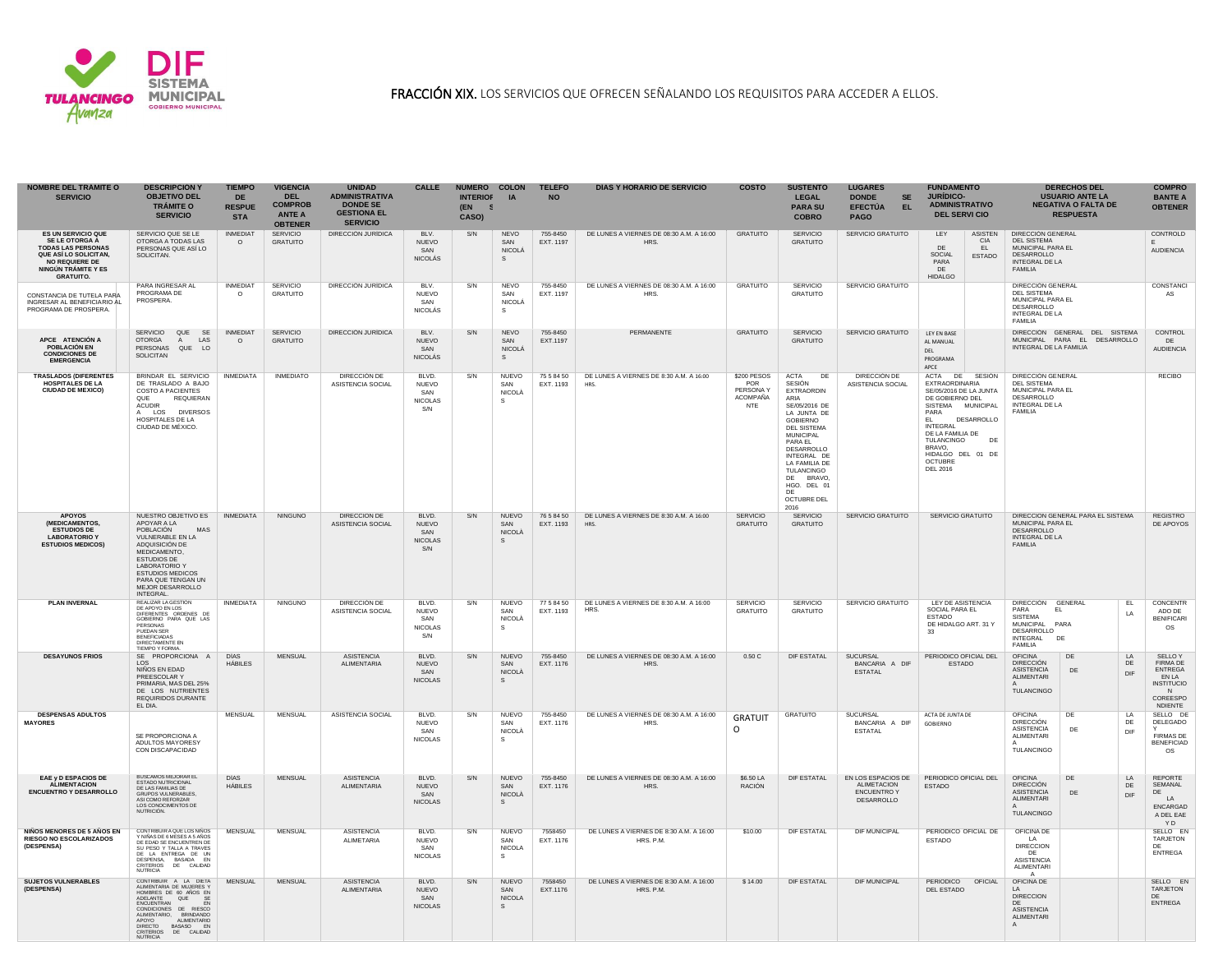

## FRACCIÓN XIX. LOS SERVICIOS QUE OFRECEN SEÑALANDO LOS REQUISITOS PARA ACCEDER A ELLOS.

| <b>NOMBRE DEL TRAMITE O</b><br><b>SERVICIO</b>                                                                                                                               | <b>DESCRIPCION Y</b><br><b>OBJETIVO DEL</b><br><b>TRÁMITE O</b><br><b>SERVICIO</b>                                                                                                                                                                                               | <b>TIEMPO</b><br>DE.<br><b>RESPUE</b><br><b>STA</b> | <b>VIGENCIA</b><br><b>DEL</b><br><b>COMPROB</b><br><b>ANTE A</b><br><b>OBTENER</b> | <b>UNIDAD</b><br><b>ADMINISTRATIVA</b><br><b>DONDE SE</b><br><b>GESTIONA EL</b><br><b>SERVICIO</b> | <b>CALLE</b>                                          | NUMERO COLON<br><b>INTERIOF</b><br>(EN<br>- 5<br>CASO) | IA                                                    | <b>TELEFO</b><br><b>NO</b> | <b>DIAS Y HORARIO DE SERVICIO</b>                    | <b>COSTO</b>                                              | <b>SUSTENTO</b><br><b>LEGAL</b><br><b>PARA SU</b><br><b>COBRO</b>                                                                                                                                                                                                                                   | <b>LUGARES</b><br><b>DONDE</b><br><b>SE</b><br>EL.<br><b>EFECTÚA</b><br><b>PAGO</b> | <b>FUNDAMENTO</b><br><b>JURÍDICO-</b><br><b>ADMINISTRATIVO</b><br><b>DEL SERVI CIO</b>                                                                                                                                                                        | <b>DERECHOS DEL</b><br><b>USUARIO ANTE LA</b><br><b>NEGATIVA O FALTA DE</b><br><b>RESPUESTA</b>                                                            | <b>COMPRO</b><br><b>BANTE A</b><br><b>OBTENER</b>                                                            |
|------------------------------------------------------------------------------------------------------------------------------------------------------------------------------|----------------------------------------------------------------------------------------------------------------------------------------------------------------------------------------------------------------------------------------------------------------------------------|-----------------------------------------------------|------------------------------------------------------------------------------------|----------------------------------------------------------------------------------------------------|-------------------------------------------------------|--------------------------------------------------------|-------------------------------------------------------|----------------------------|------------------------------------------------------|-----------------------------------------------------------|-----------------------------------------------------------------------------------------------------------------------------------------------------------------------------------------------------------------------------------------------------------------------------------------------------|-------------------------------------------------------------------------------------|---------------------------------------------------------------------------------------------------------------------------------------------------------------------------------------------------------------------------------------------------------------|------------------------------------------------------------------------------------------------------------------------------------------------------------|--------------------------------------------------------------------------------------------------------------|
| <b>ES UN SERVICIO QUE</b><br><b>SE LE OTORGA A</b><br><b>TODAS LAS PERSONAS</b><br>QUE ASÍ LO SOLICITAN.<br><b>NO REQUIERE DE</b><br>NINGÚN TRÁMITE Y ES<br><b>GRATUITO.</b> | SERVICIO QUE SE LE<br>OTORGA A TODAS LAS<br>PERSONAS QUE ASÍ LO<br>SOLICITAN.                                                                                                                                                                                                    | <b>INMEDIAT</b><br>$\circ$                          | <b>SERVICIO</b><br><b>GRATUITO</b>                                                 | DIRECCIÓN JURÍDICA                                                                                 | BLV.<br><b>NUEVO</b><br>SAN<br><b>NICOLÁS</b>         | S/N                                                    | <b>NEVO</b><br>SAN<br><b>NICOLÁ</b><br>S.             | 755-8450<br>EXT. 1197      | DE LUNES A VIERNES DE 08:30 A.M. A 16:00<br>HRS.     | <b>GRATUITO</b>                                           | <b>SERVICIO</b><br><b>GRATUITO</b>                                                                                                                                                                                                                                                                  | SERVICIO GRATUITO                                                                   | LEY<br><b>ASISTEN</b><br>CIA<br>EL.<br>DE<br>SOCIAL<br><b>ESTADO</b><br>PARA<br>DE<br><b>HIDALGO</b>                                                                                                                                                          | DIRECCIÓN GENERAL<br><b>DEL SISTEMA</b><br>MUNICIPAL PARA EL<br>DESARROLLO<br><b>INTEGRAL DE LA</b><br><b>FAMILIA</b>                                      | CONTROLD<br>F.<br><b>AUDIENCIA</b>                                                                           |
| CONSTANCIA DE TUTELA PARA<br>INGRESAR AL BENEFICIARIO AL<br>PROGRAMA DE PROSPERA.                                                                                            | PARA INGRESAR AL<br>PROGRAMA DE<br>PROSPERA.                                                                                                                                                                                                                                     | <b>INMEDIAT</b><br>$\Omega$                         | <b>SERVICIO</b><br><b>GRATUITO</b>                                                 | DIRECCIÓN JURÍDICA                                                                                 | BLV.<br><b>NUEVO</b><br>SAN<br><b>NICOLÁS</b>         | S/N                                                    | <b>NEVO</b><br>SAN<br><b>NICOLÁ</b><br><sub>S</sub>   | 755-8450<br>EXT. 1197      | DE LUNES A VIERNES DE 08:30 A.M. A 16:00<br>HRS.     | <b>GRATUITO</b>                                           | <b>SERVICIO</b><br><b>GRATUITO</b>                                                                                                                                                                                                                                                                  | SERVICIO GRATUITO                                                                   |                                                                                                                                                                                                                                                               | DIRECCIÓN GENERAL<br>DEL SISTEMA<br>MUNICIPAL PARA EL<br>DESARROLLO<br><b>INTEGRAL DE LA</b><br><b>FAMILIA</b>                                             | CONSTANCI<br>AS                                                                                              |
| APCE ATENCIÓN A<br><b>POBLACIÓN EN</b><br><b>CONDICIONES DE</b><br><b>EMERGENCIA</b>                                                                                         | SERVICIO QUE SE<br><b>OTORGA</b><br>LAS<br>A<br>PERSONAS QUE LO<br><b>SOLICITAN</b>                                                                                                                                                                                              | <b>INMEDIAT</b><br>$\circ$                          | <b>SERVICIO</b><br><b>GRATUITO</b>                                                 | DIRECCIÓN JURÍDICA                                                                                 | BLV.<br><b>NUEVO</b><br>SAN<br><b>NICOLÁS</b>         | S/N                                                    | <b>NEVO</b><br>SAN<br><b>NICOLÁ</b>                   | 755-8450<br>EXT.1197       | PERMANENTE                                           | <b>GRATUITO</b>                                           | <b>SERVICIO</b><br><b>GRATUITO</b>                                                                                                                                                                                                                                                                  | SERVICIO GRATUITO                                                                   | LEY EN BASE<br>AL MANUAL<br>DEL<br>PROGRAMA<br>APCE                                                                                                                                                                                                           | DIRECCIÓN GENERAL DEL SISTEMA<br>MUNICIPAL PARA EL DESARROLLO<br>INTEGRAL DE LA FAMILIA                                                                    | CONTROL<br>DE<br><b>AUDIENCIA</b>                                                                            |
| <b>TRASLADOS (DIFERENTES</b><br><b>HOSPITALES DE LA</b><br><b>CIUDAD DE MEXICO)</b>                                                                                          | BRINDAR EL SERVICIO<br>DE TRASLADO A BAJO<br><b>COSTO A PACIENTES</b><br>REQUIERAN<br><b>QUE</b><br><b>ACUDIR</b><br>A LOS<br><b>DIVERSOS</b><br>HOSPITALES DE LA<br>CIUDAD DE MÉXICO.                                                                                           | <b>INMEDIATA</b>                                    | <b>INMEDIATO</b>                                                                   | DIRECCIÓN DE<br>ASISTENCIA SOCIAL                                                                  | BLVD.<br><b>NUEVO</b><br>SAN<br><b>NICOLAS</b><br>S/N | S/N                                                    | <b>NUEVO</b><br>SAN<br>NICOLÀ                         | 75 5 84 50<br>EXT. 1193    | DE LUNES A VIERNES DE 8:30 A.M. A 16:00<br>HRS.      | \$200 PESOS<br><b>POR</b><br>PERSONA Y<br>ACOMPAÑA<br>NTE | ACTA<br>DE<br><b>SESIÓN</b><br><b>EXTRAORDIN</b><br>ARIA<br>SE/05/2016 DE<br>LA JUNTA DE<br><b>GOBIERNO</b><br><b>DEL SISTEMA</b><br><b>MUNICIPAL</b><br>PARA EL<br>DESARROLLO<br>INTEGRAL DE<br>LA FAMILIA DE<br><b>TULANCINGO</b><br>DE BRAVO,<br>HGO. DEL 01<br>DE<br><b>OCTUBRE DEL</b><br>2016 | DIRECCIÓN DE<br>ASISTENCIA SOCIAL                                                   | ACTA DE<br>SESIÓN<br>EXTRAORDINARIA<br>SE/05/2016 DE LA JUNTA<br>DE GOBIERNO DEL<br>SISTEMA MUNICIPAL<br>PARA<br>DESARROLLO<br>EL.<br><b>INTEGRAL</b><br>DE LA FAMILIA DE<br>TULANCINGO<br>DE<br>BRAVO.<br>HIDALGO DEL 01<br>DE<br><b>OCTUBRE</b><br>DEL 2016 | DIRECCIÓN GENERAL<br><b>DEL SISTEMA</b><br>MUNICIPAL PARA EL<br>DESARROLLO<br>INTEGRAL DE LA<br>FAMILIA                                                    | <b>RECIBO</b>                                                                                                |
| <b>APOYOS</b><br>(MEDICAMENTOS,<br><b>ESTUDIOS DE</b><br><b>LABORATORIO Y</b><br><b>ESTUDIOS MEDICOS)</b>                                                                    | NUESTRO OBJETIVO ES<br>APOYAR A LA<br>POBLACIÓN<br>MAS<br>VULNERABLE EN LA<br>ADQUISICIÓN DE<br>MEDICAMENTO,<br><b>ESTUDIOS DE</b><br><b>LABORATORIO Y</b><br><b>ESTUDIOS MEDICOS</b><br>PARA QUE TENGAN UN<br>MEJOR DESARROLLO<br><b>INTEGRAL</b>                               | <b>INMEDIATA</b>                                    | <b>NINGUNO</b>                                                                     | DIRECCIÓN DE<br>ASISTENCIA SOCIAL                                                                  | BLVD.<br><b>NUEVO</b><br>SAN<br><b>NICOLAS</b><br>S/N | S/N                                                    | <b>NUEVO</b><br>SAN<br>NICOLÀ                         | 76 5 84 50<br>EXT. 1193    | DE LUNES A VIERNES DE 8:30 A.M. A 16:00<br>HRS.      | <b>SERVICIO</b><br><b>GRATUITO</b>                        | <b>SERVICIO</b><br><b>GRATUITO</b>                                                                                                                                                                                                                                                                  | SERVICIO GRATUITO                                                                   | SERVICIO GRATUITO                                                                                                                                                                                                                                             | DIRECCIÓN GENERAL PARA EL SISTEMA<br>MUNICIPAL PARA EL<br>DESARROLLO<br><b>INTEGRAL DE LA</b><br><b>FAMILIA</b>                                            | <b>REGISTRO</b><br>DE APOYOS                                                                                 |
| <b>PLAN INVERNAL</b>                                                                                                                                                         | REALIZAR LA GESTIÓN<br>DE APOYO EN LOS<br>DIFERENTES ORDENES DE<br>GOBIERNO PARA QUE LAS<br>PERSONAS<br>PUEDAN SER<br><b>BENEFICIADAS</b><br>DIRECTAMENTE EN<br>TIEMPO Y FORMA.                                                                                                  | <b>INMEDIATA</b>                                    | <b>NINGUNO</b>                                                                     | DIRECCIÓN DE<br>ASISTENCIA SOCIAL                                                                  | BLVD.<br>NUEVO<br>SAN<br><b>NICOLAS</b><br>S/N        | S/N                                                    | <b>NUEVO</b><br>SAN<br>NICOLÀ<br>S.                   | 77 5 84 50<br>EXT. 1193    | DE LUNES A VIERNES DE 8:30 A.M. A 16:00<br>HRS.      | <b>SERVICIO</b><br><b>GRATUITO</b>                        | <b>SERVICIO</b><br><b>GRATUITO</b>                                                                                                                                                                                                                                                                  | SERVICIO GRATUITO                                                                   | LEY DE ASISTENCIA<br>SOCIAL PARA EL<br><b>ESTADO</b><br>DE HIDALGO ART. 31 Y<br>33                                                                                                                                                                            | <b>DIRECCIÓN</b><br><b>GENERAL</b><br>EL<br>PARA<br>EL.<br>LA<br><b>SISTEMA</b><br>MUNICIPAL PARA<br>DESARROLLO<br><b>INTEGRAL</b><br>DE<br><b>FAMILIA</b> | <b>CONCENTR</b><br>ADO DE<br><b>BENIFICARI</b><br>OS                                                         |
| <b>DESAYUNOS FRIOS</b>                                                                                                                                                       | SE PROPORCIONA A<br>LOS<br>NIÑOS EN EDAD<br>PREESCOLAR Y<br>PRIMARIA, MAS DEL 25%<br>DE LOS NUTRIENTES<br>REQUIRIDOS DURANTE<br>EL DIA.                                                                                                                                          | <b>DÍAS</b><br><b>HÁBILES</b>                       | <b>MENSUAL</b>                                                                     | <b>ASISTENCIA</b><br><b>ALIMENTARIA</b>                                                            | BLVD.<br><b>NUEVO</b><br>SAN<br><b>NICOLAS</b>        | S/N                                                    | <b>NUEVO</b><br>SAN<br><b>NICOLA</b>                  | 755-8450<br>EXT. 1176      | DE LUNES A VIERNES DE 08:30 A.M. A 16:00<br>HRS.     | 0.50C                                                     | <b>DIF ESTATAL</b>                                                                                                                                                                                                                                                                                  | <b>SUCURSAL</b><br>BANCARIA A DIF<br><b>ESTATAL</b>                                 | PERIODICO OFICIAL DEL<br><b>ESTADO</b>                                                                                                                                                                                                                        | DE<br><b>OFICINA</b><br>LA<br><b>DIRECCIÓN</b><br>DE<br><b>ASISTENCIA</b><br>DE<br>DIF<br>ALIMENTARI<br>TULANCINGO                                         | <b>SELLOY</b><br><b>FIRMA DE</b><br><b>ENTREGA</b><br>EN LA<br><b>INSTITUCIO</b><br>N<br>COREESPO<br>NDIENTE |
| <b>DESPENSAS ADULTOS</b><br><b>MAYORES</b>                                                                                                                                   | SE PROPORCIONA A<br>ADULTOS MAYORESY<br>CON DISCAPACIDAD                                                                                                                                                                                                                         | <b>MENSUAL</b>                                      | <b>MENSUAL</b>                                                                     | ASISTENCIA SOCIAL                                                                                  | BLVD.<br><b>NUEVO</b><br>SAN<br><b>NICOLAS</b>        | S/N                                                    | <b>NUEVO</b><br>SAN<br>NICOLÀ<br>-S                   | 755-8450<br>EXT. 1176      | DE LUNES A VIERNES DE 08:30 A.M. A 16:00<br>HRS.     | <b>GRATUIT</b><br>$\circ$                                 | <b>GRATUITO</b>                                                                                                                                                                                                                                                                                     | <b>SUCURSAL</b><br>BANCARIA A DIF<br><b>ESTATAL</b>                                 | ACTA DE JUNTA DE<br>GOBIERNO                                                                                                                                                                                                                                  | DE<br><b>OFICINA</b><br>LA<br>DE<br><b>DIRECCIÓN</b><br><b>ASISTENCIA</b><br>DE<br>DIF<br>ALIMENTARI<br>TULANCINGO                                         | SELLO DE<br>DELEGADO<br><b>FIRMAS DE</b><br><b>BENEFICIAD</b><br>os                                          |
| EAE y D ESPACIOS DE<br><b>ALIMENTACION</b><br><b>ENCUENTRO Y DESARROLLO</b>                                                                                                  | <b>BUSCAMOS MEJORAR EL</b><br>ESTADO NUTRICIONAL<br>DE LAS FAMILIAS DE<br>GRUPOS VULNERABLES,<br>ASI COMO REFORZAR<br>LOS CONOCIMENTOS DE<br>NUTRICIÓN.                                                                                                                          | DÍAS<br>HÁBILES                                     | <b>MENSUAL</b>                                                                     | <b>ASISTENCIA</b><br><b>ALIMENTARIA</b>                                                            | BLVD.<br><b>NUEVO</b><br>SAN<br><b>NICOLAS</b>        | S/N                                                    | <b>NUEVO</b><br>SAN<br>NICOLÀ                         | 755-8450<br>EXT. 1176      | DE LUNES A VIERNES DE 08:30 A.M. A 16:00<br>HRS.     | \$6.50 LA<br>RACIÓN                                       | DIF ESTATAL                                                                                                                                                                                                                                                                                         | EN LOS ESPACIOS DE<br><b>ALIMETACION</b><br><b>ENCUENTRO Y</b><br>DESARROLLO        | PERIODICO OFICIAL DEL<br><b>ESTADO</b>                                                                                                                                                                                                                        | <b>OFICINA</b><br>DE<br>LA<br><b>DIRECCIÓN</b><br>DE<br><b>ASISTENCIA</b><br>DE<br>DIF<br>ALIMENTARI<br>TULANCINGO                                         | <b>REPORTE</b><br>SEMANAL<br>DE<br>LA<br><b>ENCARGAD</b><br>A DEL EAE<br>YD                                  |
| NIÑOS MENORES DE 5 AÑOS EN<br>RIESGO NO ESCOLARIZADOS<br>(DESPENSA)                                                                                                          | CONTRIBUIR A QUE LOS NIÑOS<br>Y NIÑAS DE 6 MESES A 5 AÑOS<br>DE EDAD SE ENCUENTREN DE<br>SU PESO Y TALLA A TRAVES<br>DE LA ENTREGA DE UN<br>DESPENSA, BASADA EN<br>CRITERIOS DE CALIDAD<br><b>NUTRICIA</b>                                                                       | <b>MENSUAL</b>                                      | MENSUAL                                                                            | <b>ASISTENCIA</b><br><b>ALIMETARIA</b>                                                             | BLVD.<br><b>NUEVO</b><br>SAN<br><b>NICOLAS</b>        | S/N                                                    | <b>NUEVO</b><br>SAN<br><b>NICOLA</b><br>S.            | 7558450<br>EXT. 1176       | DE LUNES A VIERNES DE 8:30 A.M. A 16:00<br>HRS. P.M. | \$10.00                                                   | <b>DIF ESTATAL</b>                                                                                                                                                                                                                                                                                  | <b>DIF MUNICIPAL</b>                                                                | PERIODICO OFICIAL DE<br><b>ESTADO</b>                                                                                                                                                                                                                         | OFICINA DE<br>LA<br><b>DIRECCION</b><br>DE<br><b>ASISTENCIA</b><br><b>ALIMENTARI</b><br>A                                                                  | SELLO EN<br>TARJETON<br>DE.<br><b>ENTREGA</b>                                                                |
| <b>SUJETOS VULNERABLES</b><br>(DESPENSA)                                                                                                                                     | CONTRIBUIR A LA DIETA<br>ALIMENTARIA DE MUJERES Y<br>HOMBRES DE 60 AÑOS EN<br>ADELANTE<br>QUE SE<br><b>ENCUENTRAN</b><br>EN<br>CONDICIONES DE RIESCO<br>ALIMENTARIO, BRINDANDO<br>ALIMENTARIO<br>APOYO<br>BASASO EN<br><b>DIRECTO</b><br>CRITERIOS DE CALIDAD<br><b>NUTRICIA</b> | <b>MENSUAL</b>                                      | <b>MENSUAL</b>                                                                     | <b>ASISTENCIA</b><br><b>ALIMENTARIA</b>                                                            | BLVD.<br><b>NUEVO</b><br>SAN<br><b>NICOLAS</b>        | S/N                                                    | <b>NUEVO</b><br>SAN<br><b>NICOLA</b><br>$\mathcal{S}$ | 7558450<br>EXT.1176        | DE LUNES A VIERNES DE 8:30 A.M. A 16:00<br>HRS. P.M. | \$14.00                                                   | DIF ESTATAL                                                                                                                                                                                                                                                                                         | <b>DIF MUNICIPAL</b>                                                                | PERIODICO<br>OFICIAL<br><b>DEL ESTADO</b>                                                                                                                                                                                                                     | OFICINA DE<br>LA<br><b>DIRECCION</b><br>DE.<br><b>ASISTENCIA</b><br>ALIMENTARI<br>$\mathsf{A}$                                                             | SELLO EN<br>TARJETON<br>DE<br><b>ENTREGA</b>                                                                 |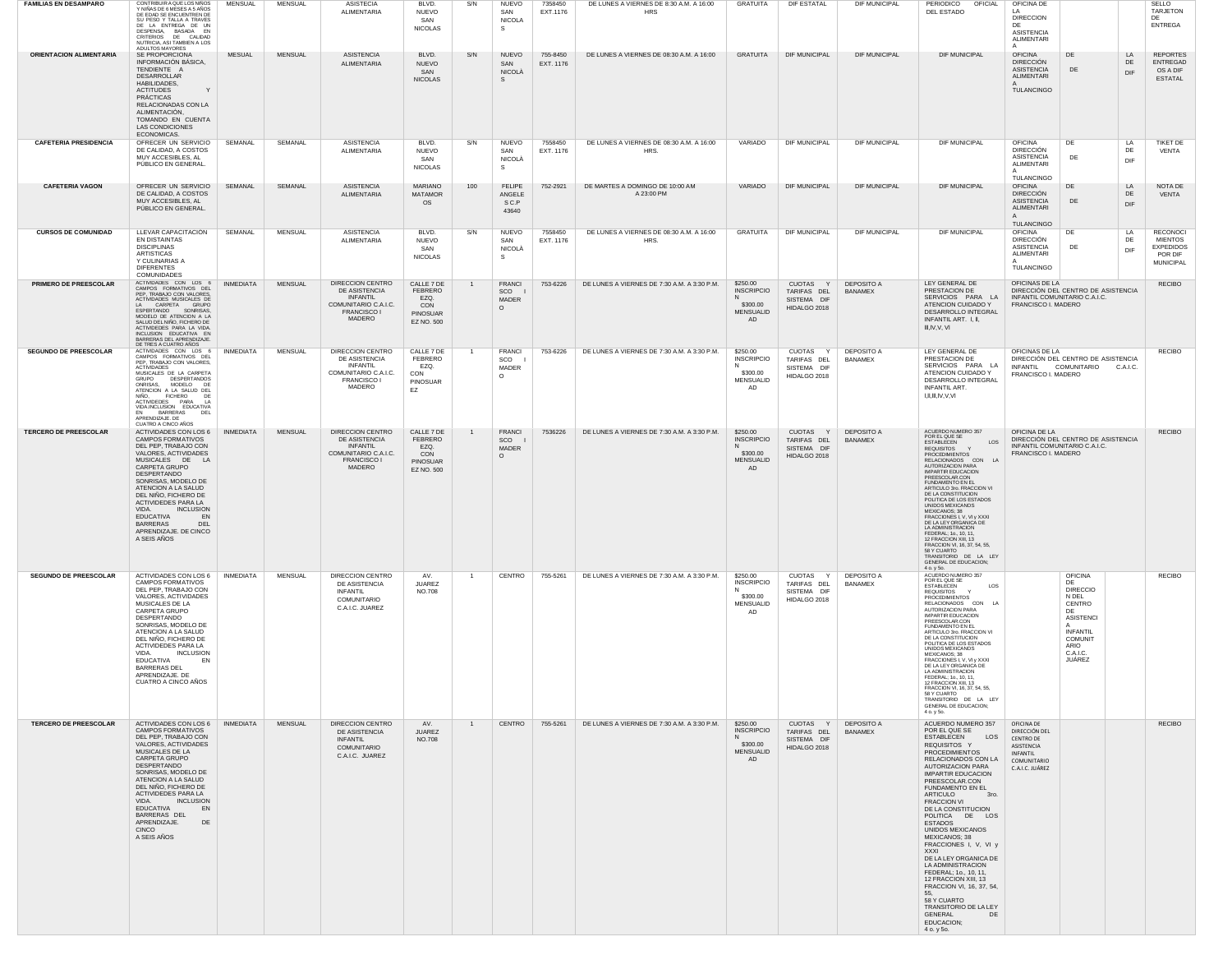| <b>FAMILIAS EN DESAMPARO</b> | CONTRIBUIR A QUE LOS NINOS<br>Y NIÑAS DE 6 MESES A 5 AÑOS<br>DE EDAD SE ENCUENTREN DE<br>SU PESO Y TALLA A TRAVES<br>DE LA ENTREGA DE UN<br>DESPENSA, BASADA EN<br>CRITERIOS DE CALIDAD<br>NUTRICIA, ASI TAMBIEN A LOS<br>ADULTOS MAYORES                                                                                                                                             | MENSUAL          | MENSUAL        | <b>ASISTECIA</b><br><b>ALIMENTARIA</b>                                                                       | BLVD.<br>NUEVO<br>SAN<br><b>NICOLAS</b>                               | S/N            | <b>NUEVO</b><br>SAN<br><b>NICOLA</b><br>S. | 7358450<br>EXT.1176   | DE LUNES A VIERNES DE 8:30 A.M. A 16:00<br><b>HRS</b> | GRATUITA                                                                 | DIF ESTATAL                                            | DIF MUNICIPAL                       | PERIODICO<br>OFICIAL<br>DEL ESTADO                                                                                                                                                                                                                                                                                                                                                                                                                                                                                                                                                                                               | OFICINA DE<br>LA.<br><b>DIRECCION</b><br>DE<br><b>ASISTENCIA</b><br>ALIMENTARI<br>A                         |                                                                                                                                                         |                        | SELLO<br>TARJETON<br>DE<br><b>ENTREGA</b>                                            |
|------------------------------|---------------------------------------------------------------------------------------------------------------------------------------------------------------------------------------------------------------------------------------------------------------------------------------------------------------------------------------------------------------------------------------|------------------|----------------|--------------------------------------------------------------------------------------------------------------|-----------------------------------------------------------------------|----------------|--------------------------------------------|-----------------------|-------------------------------------------------------|--------------------------------------------------------------------------|--------------------------------------------------------|-------------------------------------|----------------------------------------------------------------------------------------------------------------------------------------------------------------------------------------------------------------------------------------------------------------------------------------------------------------------------------------------------------------------------------------------------------------------------------------------------------------------------------------------------------------------------------------------------------------------------------------------------------------------------------|-------------------------------------------------------------------------------------------------------------|---------------------------------------------------------------------------------------------------------------------------------------------------------|------------------------|--------------------------------------------------------------------------------------|
| ORIENTACIÓN ALIMENTARIA      | SE PROPORCIONA<br>INFORMACIÓN BÁSICA.<br>TENDIENTE A<br>DESARROLLAR<br>HABILIDADES,<br><b>ACTITUDES</b><br>$\mathsf{Y}$<br>PRÁCTICAS<br>RELACIONADAS CON LA<br>ALIMENTACIÓN,<br>TOMANDO EN CUENTA<br><b>LAS CONDICIONES</b><br>ECONOMICAS.                                                                                                                                            | <b>MESUAL</b>    | <b>MENSUAL</b> | <b>ASISTENCIA</b><br>ALIMENTARIA                                                                             | BLVD.<br><b>NUEVO</b><br>SAN<br><b>NICOLAS</b>                        | S/N            | <b>NUEVO</b><br>SAN<br>NICOLÀ<br>s.        | 755-8450<br>EXT. 1176 | DE LUNES A VIERNES DE 08:30 A.M. A 16:00              | <b>GRATUITA</b>                                                          | <b>DIF MUNICIPAL</b>                                   | <b>DIF MUNICIPAL</b>                | <b>DIF MUNICIPAL</b>                                                                                                                                                                                                                                                                                                                                                                                                                                                                                                                                                                                                             | <b>OFICINA</b><br><b>DIRECCIÓN</b><br><b>ASISTENCIA</b><br>ALIMENTARI<br>TULANCINGO                         | DE<br>DE                                                                                                                                                | <b>LA</b><br>DE<br>DIF | <b>REPORTES</b><br><b>ENTREGAD</b><br>OS A DIF<br><b>ESTATAL</b>                     |
| <b>CAFETERIA PRESIDENCIA</b> | OFRECER UN SERVICIO<br>DE CALIDAD, A COSTOS<br>MUY ACCESIBLES, AL<br>PÚBLICO EN GENERAL.                                                                                                                                                                                                                                                                                              | SEMANAL          | SEMANAL        | <b>ASISTENCIA</b><br>ALIMENTARIA                                                                             | BLVD.<br><b>NUEVO</b><br>SAN<br><b>NICOLAS</b>                        | S/N            | <b>NUEVO</b><br>SAN<br>NICOLA<br>S.        | 7558450<br>EXT. 1176  | DE LUNES A VIERNES DE 08:30 A.M. A 16:00<br>HRS.      | VARIADO                                                                  | <b>DIF MUNICIPAL</b>                                   | <b>DIF MUNICIPAL</b>                | <b>DIF MUNICIPAL</b>                                                                                                                                                                                                                                                                                                                                                                                                                                                                                                                                                                                                             | <b>OFICINA</b><br><b>DIRECCIÓN</b><br><b>ASISTENCIA</b><br>ALIMENTARI<br><b>TULANCINGO</b>                  | DE<br>DE                                                                                                                                                | LA<br>DE<br>DIF        | <b>TIKET DE</b><br>VENTA                                                             |
| <b>CAFETERIA VAGON</b>       | OFRECER UN SERVICIO<br>DE CALIDAD, A COSTOS<br>MUY ACCESIBLES, AL<br>PÚBLICO EN GENERAL.                                                                                                                                                                                                                                                                                              | SEMANAL          | SEMANAL        | <b>ASISTENCIA</b><br>ALIMENTARIA                                                                             | <b>MARIANO</b><br><b>MATAMOR</b><br>os                                | 100            | <b>FELIPE</b><br>ANGELE<br>S C.P<br>43640  | 752-2921              | DE MARTES A DOMINGO DE 10:00 AM<br>A 23:00 PM         | VARIADO                                                                  | <b>DIF MUNICIPAL</b>                                   | <b>DIF MUNICIPAL</b>                | <b>DIF MUNICIPAL</b>                                                                                                                                                                                                                                                                                                                                                                                                                                                                                                                                                                                                             | <b>OFICINA</b><br><b>DIRECCIÓN</b><br><b>ASISTENCIA</b><br>ALIMENTARI<br>$\mathsf{A}$<br><b>TULANCINGO</b>  | DE<br>DE                                                                                                                                                | LA<br>DE<br>DIF        | NOTA DE<br>VENTA                                                                     |
| <b>CURSOS DE COMUNIDAD</b>   | LLEVAR CAPACITACIÓN<br>EN DISTAINTAS<br><b>DISCIPLINAS</b><br><b>ARTISTICAS</b><br>Y CULINARIAS A<br><b>DIFERENTES</b><br><b>COMUNIDADES</b>                                                                                                                                                                                                                                          | SEMANAL          | <b>MENSUAL</b> | <b>ASISTENCIA</b><br>ALIMENTARIA                                                                             | BLVD.<br><b>NUEVO</b><br>SAN<br><b>NICOLAS</b>                        | S/N            | <b>NUEVO</b><br>SAN<br>NICOLA<br>S.        | 7558450<br>EXT. 1176  | DE LUNES A VIERNES DE 08:30 A.M. A 16:00<br>HRS.      | GRATUITA                                                                 | <b>DIF MUNICIPAL</b>                                   | DIF MUNICIPAL                       | <b>DIF MUNICIPAL</b>                                                                                                                                                                                                                                                                                                                                                                                                                                                                                                                                                                                                             | <b>OFICINA</b><br><b>DIRECCIÓN</b><br><b>ASISTENCIA</b><br>ALIMENTARI<br><b>TULANCINGO</b>                  | DE<br>DE                                                                                                                                                | LA<br>DE<br>DIF        | <b>RECONOCI</b><br><b>MIENTOS</b><br><b>EXPEDIDOS</b><br>POR DIF<br><b>MUNICIPAL</b> |
| PRIMERO DE PREESCOLAR        | ACTIVIDADES CON LOS 6<br>CAMPOS FORMATIVOS DEL<br>PEP, TRABAJO CON VALORES,<br>ACTIVIDADES MUSICALES DE<br>LA CARPETA GRUPO<br>ESPERTANDO SONRISAS,<br>MODELO DE ATENCION A LA<br>SALUD DEL NIÑO, FICHERO DE<br>ACTIVIDEDES PARA LA VIDA.<br>INCLUSION EDUCATIVA EN<br>BARRERAS DEL APRENDIZAJE.<br>DE TRES A CUATRO AÑOS                                                             | <b>INMEDIATA</b> | <b>MENSUAL</b> | DIRECCION CENTRO<br>DE ASISTENCIA<br><b>INFANTIL</b><br>COMUNITARIO C.A.I.C.<br><b>FRANCISCO I</b><br>MADERO | CALLE 7 DE<br>FEBRERO<br>EZQ.<br>CON<br>PINOSUAR<br>EZ NO. 500        | 1              | <b>FRANCI</b><br>SCO I<br>MADER<br>$\circ$ | 753-6226              | DE LUNES A VIERNES DE 7:30 A.M. A 3:30 P.M.           | \$250.00<br><b>INSCRIPCIO</b><br>\$300.00<br><b>MENSUALID</b><br>AD      | CUOTAS Y<br>TARIFAS DEL<br>SISTEMA DIF<br>HIDALGO 2018 | <b>DEPOSITO A</b><br>BANAMEX        | LEY GENERAL DE<br>PRESTACION DE<br>SERVICIOS PARA LA<br>ATENCION CUIDADO Y<br>DESARROLLO INTEGRAL<br>INFANTIL ART. I, II,<br>III,IV,V, VI                                                                                                                                                                                                                                                                                                                                                                                                                                                                                        | OFICINAS DE LA<br>FRANCISCO I. MADERO                                                                       | DIRECCIÓN DEL CENTRO DE ASISTENCIA<br>INFANTIL COMUNITARIO C.A.I.C.                                                                                     |                        | <b>RECIBO</b>                                                                        |
| SEGUNDO DE PREESCOLAR        | ACTIVIDADES CON LOS 6<br>CAMPOS FORMATIVOS DEL<br>PEP, TRABAJO CON VALORES,<br><b>ACTIVIDADES</b><br>MUSICALES DE LA CARPETA<br>DESPERTANDOS<br><b>GRUPO</b><br>ONRISAS,<br>MODELO DE<br>ATENCION A LA SALUD DEL<br>NIÑO, FICHERO<br>- DE<br>ACTIVIDEDES PARA<br>$\overline{A}$<br>VIDA.INCLUSION EDUCATIVA<br>EN BARRERAS<br>DEL<br>APRENDIZAJE. DE<br>CUATRO A CINCO AÑOS           | <b>INMEDIATA</b> | <b>MENSUAL</b> | DIRECCION CENTRO<br>DE ASISTENCIA<br><b>INFANTIL</b><br>COMUNITARIO C.A.I.C.<br><b>FRANCISCO I</b><br>MADERO | CALLE 7 DE<br>FEBRERO<br>EZQ.<br>CON<br>PINOSUAR<br>EZ                | $\overline{1}$ | <b>FRANCI</b><br>SCO<br>MADER<br>$\circ$   | 753-6226              | DE LUNES A VIERNES DE 7:30 A.M. A 3:30 P.M.           | \$250.00<br><b>INSCRIPCIO</b><br>N<br>\$300.00<br>MENSUALID<br>AD        | CUOTAS Y<br>TARIFAS DEL<br>SISTEMA DIF<br>HIDALGO 2018 | <b>DEPOSITO A</b><br><b>BANAMEX</b> | LEY GENERAL DE<br>PRESTACION DE<br>SERVICIOS PARA LA<br>ATENCION CUIDADO Y<br>DESARROLLO INTEGRAL<br><b>INFANTIL ART</b><br>I,II,III,IV,V,VI                                                                                                                                                                                                                                                                                                                                                                                                                                                                                     | OFICINAS DE LA<br><b>INFANTIL</b><br>FRANCISCO I. MADERO                                                    | DIRECCIÓN DEL CENTRO DE ASISTENCIA<br>COMUNITARIO                                                                                                       | C.A.I.C.               | <b>RECIBO</b>                                                                        |
| <b>TERCERO DE PREESCOLAR</b> | ACTIVIDADES CON LOS 6<br><b>CAMPOS FORMATIVOS</b><br>DEL PEP, TRABAJO CON<br>VALORES, ACTIVIDADES<br>MUSICALES DE LA<br>CARPETA GRUPO<br>DESPERTANDO<br>SONRISAS, MODELO DE<br>ATENCION A LA SALUD<br>DEL NIÑO, FICHERO DE<br>ACTIVIDEDES PARA LA<br>VIDA.<br><b>INCLUSION</b><br><b>EDUCATIVA</b><br>EN<br><b>BARRERAS</b><br>DEL<br>APRENDIZAJE. DE CINCO<br>A SEIS AÑOS            | <b>INMEDIATA</b> | <b>MENSUAL</b> | DIRECCION CENTRO<br>DE ASISTENCIA<br>INFANTIL<br>COMUNITARIO C.A.I.C.<br><b>FRANCISCO I</b><br>MADERO        | CALLE 7 DE<br>FEBRERO<br>EZQ.<br>CON<br><b>PINOSUAR</b><br>EZ NO. 500 | 1              | <b>FRANCI</b><br>SCO I<br>MADER<br>$\circ$ | 7536226               | DE LUNES A VIERNES DE 7:30 A.M. A 3:30 P.M.           | \$250.00<br><b>INSCRIPCIO</b><br>N<br>\$300.00<br><b>MENSUALID</b><br>AD | CUOTAS Y<br>TARIFAS DEL<br>SISTEMA DIF<br>HIDALGO 2018 | <b>DEPOSITO A</b><br><b>BANAMEX</b> | ACUERDO NUMERO 357<br>POR EL QUE SE<br>LOS<br><b>FSTABLECEN</b><br><b>REQUISITOS</b><br>PROCEDIMIENTOS<br>RELACIONADOS CON LA<br>AUTORIZACION PARA<br><b>IMPARTIR EDUCACION</b><br>PREESCOLAR.CON<br>FUNDAMENTO EN EL<br>ARTICULO 3ro. FRACCION VI<br>DE LA CONSTITUCION<br>POLITICA DE LOS ESTADOS<br>UNIDOS MEXICANOS<br><b>MEXICANOS; 38</b><br>FRACCIONES I, V, VI y XXXI<br>DE LA LEY ORGANICA DE<br>LA ADMINISTRACION<br>FEDERAL: 1o., 10, 11,<br>12 FRACCION XIII, 13<br>FRACCION VI, 16, 37, 54, 55,<br>TRANSITORIO DE LA LEY<br><b>GENERAL DE EDUCACION:</b><br>4 o. y 5o.                                              | OFICINA DE LA<br>FRANCISCO I. MADERO                                                                        | DIRECCIÓN DEL CENTRO DE ASISTENCIA<br>INFANTIL COMUNITARIO C.A.I.C.                                                                                     |                        | <b>RECIBO</b>                                                                        |
| <b>SEGUNDO DE PREESCOLAR</b> | ACTIVIDADES CON LOS 6   INMEDIATA<br><b>CAMPOS FORMATIVOS</b><br>DEL PEP, TRABAJO CON<br>VALORES, ACTIVIDADES<br>MUSICALES DE LA<br>CARPETA GRUPO<br>DESPERTANDO<br>SONRISAS, MODELO DE<br>ATENCION A LA SALUD<br>DEL NIÑO, FICHERO DE<br>ACTIVIDEDES PARA LA<br>VIDA.<br><b>INCLUSION</b><br><b>EDUCATIVA</b><br>EN<br><b>BARRERAS DEL</b><br>APRENDIZAJE. DE<br>CUATRO A CINCO AÑOS |                  | <b>MENSUAL</b> | DIRECCION CENTRO<br>DE ASISTENCIA<br>INFANTIL<br>COMUNITARIO<br>C.A.I.C. JUAREZ                              | AV.<br><b>JUAREZ</b><br>NO.708                                        |                | CENTRO                                     | 755-5261              | DE LUNES A VIERNES DE 7:30 A.M. A 3:30 P.M.           | \$250.00<br><b>INSCRIPCIO</b><br>N<br>\$300.00<br><b>MENSUALID</b><br>AD | CUOTAS Y<br>TARIFAS DEL<br>SISTEMA DIF<br>HIDALGO 2018 | <b>DEPOSITO A</b><br>BANAMEX        | ACUERDO NUMERO 357<br>POR EL QUE SE<br>ESTABLECEN<br>LOS<br><b>REQUISITOS</b><br><b>PROCEDIMIENTOS</b><br>RELACIONADOS CON LA<br>AUTORIZACION PARA<br><b>IMPARTIR EDUCACION</b><br>PREESCOLAR.CON<br><b>FUNDAMENTO EN EL</b><br>ARTICULO 3ro. FRACCION V<br>DE LA CONSTITUCION<br>POLITICA DE LOS ESTADOS<br>UNIDOS MEXICANOS<br><b>MEXICANOS; 38</b><br>FRACCIONES I, V, VI y XXXI<br>DE LA LEY ORGANICA DE<br>LA ADMINISTRACION<br>FEDERAL; 1o., 10, 11,<br>12 FRACCION XIII, 13<br>FRACCION VI, 16, 37, 54, 55,<br>58 Y CUARTO<br>TRANSITORIO DE LA LEY<br>GENERAL DE EDUCACION;<br>4 o. y 5o.                                |                                                                                                             | <b>OFICINA</b><br>DE<br><b>DIRECCIO</b><br>N DEL<br>CENTRO<br>DE<br><b>ASISTENCI</b><br><b>INFANTIL</b><br><b>COMUNIT</b><br>ARIO<br>C.A.I.C.<br>JUÁREZ |                        | <b>RECIBO</b>                                                                        |
| <b>TERCERO DE PREESCOLAR</b> | ACTIVIDADES CON LOS 6<br><b>CAMPOS FORMATIVOS</b><br>DEL PEP. TRABAJO CON<br>VALORES, ACTIVIDADES<br>MUSICALES DE LA<br>CARPETA GRUPO<br>DESPERTANDO<br>SONRISAS, MODELO DE<br>ATENCION A LA SALUD<br>DEL NIÑO, FICHERO DE<br>ACTIVIDEDES PARA LA<br>VIDA.<br>INCLUSION<br><b>EDUCATIVA</b><br>EN<br>BARRERAS DEL<br>APRENDIZAJE.<br>DE<br><b>CINCO</b><br>A SEIS AÑOS                | INMEDIATA        | <b>MENSUAL</b> | DIRECCION CENTRO<br>DE ASISTENCIA<br><b>INFANTIL</b><br><b>COMUNITARIO</b><br>C.A.I.C. JUAREZ                | AV.<br><b>JUAREZ</b><br><b>NO.708</b>                                 | 1              | CENTRO                                     | 755-5261              | DE LUNES A VIERNES DE 7:30 A.M. A 3:30 P.M.           | \$250.00<br><b>INSCRIPCIO</b><br>\$300.00<br><b>MENSUALID</b><br>AD      | CUOTAS Y<br>TARIFAS DEL<br>SISTEMA DIF<br>HIDALGO 2018 | <b>DEPOSITO A</b><br><b>BANAMEX</b> | ACUERDO NUMERO 357<br>POR EL QUE SE<br>ESTABLECEN<br>LOS<br>REQUISITOS Y<br><b>PROCEDIMIENTOS</b><br>RELACIONADOS CON LA<br>AUTORIZACION PARA<br><b>IMPARTIR EDUCACION</b><br>PREESCOLAR.CON<br>FUNDAMENTO EN EL<br>ARTICULO<br>3ro.<br><b>FRACCION VI</b><br>DE LA CONSTITUCION<br>POLITICA DE LOS<br><b>ESTADOS</b><br>UNIDOS MEXICANOS<br><b>MEXICANOS; 38</b><br>FRACCIONES I, V, VI y<br><b>XXXI</b><br>DE LA LEY ORGANICA DE<br>LA ADMINISTRACION<br>FEDERAL; 1o., 10, 11,<br>12 FRACCION XIII, 13<br>FRACCION VI, 16, 37, 54,<br>55.<br>58 Y CUARTO<br>TRANSITORIO DE LA LEY<br>GENERAL<br>DE<br>EDUCACION;<br>4 o. y 5o. | OFICINA DE<br>DIRECCIÓN DEL<br><b>CENTRO DE</b><br>ASISTENCIA<br>INFANTIL<br>COMUNITARIO<br>C.A.I.C. JUÁREZ |                                                                                                                                                         |                        | <b>RECIBO</b>                                                                        |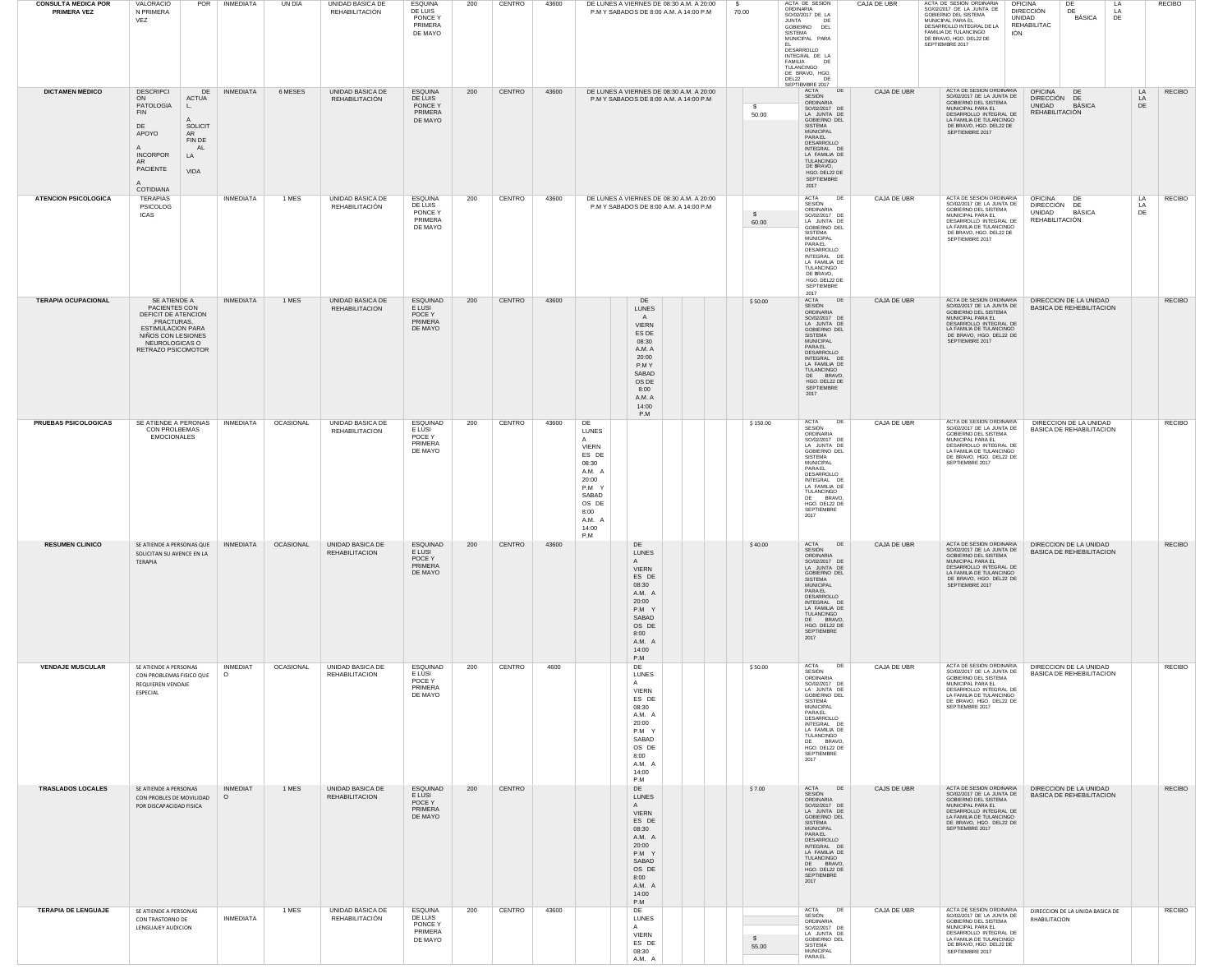| <b>CONSULTA MÉDICA POR</b><br><b>PRIMERA VEZ</b> | VALORACIÓ<br>N PRIMERA<br>VEZ                                                                                                                                                                                                | POR<br>INMEDIATA           | UN DÌA    | UNIDAD BASICA DE<br>REHABILITACIÓN           | ESQUINA<br>DE LUIS<br>PONCE Y<br>PRIMERA<br>DE MAYO        | 200 | CENTRO | 43600 |                                                                                                                                               |                                                                                                                                           | DE LUNES A VIERNES DE 08:30 A.M. A 20:00<br>P.M Y SABADOS DE 8:00 A.M. A 14:00 P.M | - S<br>70.00          | ACTA DE SESION<br>ORDINARIA<br>SO/02/2017 DE LA<br><b>JUNTA</b><br>DF<br>GOBIERNO DEL<br>SISTEMA<br>MUNICIPAL PARA<br>EL.<br>DESARROLLO<br>INTEGRAL DE LA<br>FAMILIA<br>DE<br>TULANCINGO<br>DE BRAVO, HGO.<br>DEL22<br>DE<br>SEPTIEMBRE 2017      | CAJA DE UBR | ACTA DE SESIÓN ORDINARIA<br>SO/02/2017 DE LA JUNTA DE<br>GOBIERNO DEL SISTEMA<br>MUNICIPAL PARA FI<br>DESARROLLO INTEGRAL DE LA<br>FAMILIA DE TULANCINGO<br>IÓN<br>DE BRAVO, HGO. DEL22 DE<br>SEPTIEMBRE 2017 | DE<br><b>OFICINA</b><br>LA<br><b>DIRECCIÓN</b><br>DE<br>LA<br>BÁSICA<br>UNIDAD<br>DE<br>REHABILITAC   |                | <b>RECIBO</b> |
|--------------------------------------------------|------------------------------------------------------------------------------------------------------------------------------------------------------------------------------------------------------------------------------|----------------------------|-----------|----------------------------------------------|------------------------------------------------------------|-----|--------|-------|-----------------------------------------------------------------------------------------------------------------------------------------------|-------------------------------------------------------------------------------------------------------------------------------------------|------------------------------------------------------------------------------------|-----------------------|---------------------------------------------------------------------------------------------------------------------------------------------------------------------------------------------------------------------------------------------------|-------------|---------------------------------------------------------------------------------------------------------------------------------------------------------------------------------------------------------------|-------------------------------------------------------------------------------------------------------|----------------|---------------|
| <b>DICTAMEN MÉDICO</b>                           | <b>DESCRIPCI</b><br>ACTUA<br>ON<br>PATOLOGIA<br>L,<br><b>FIN</b><br>$\mathsf{A}$<br><b>SOLICIT</b><br>DE<br>APOYO<br>AR<br>FIN DE<br>AL<br>A<br><b>INCORPOR</b><br>LA<br>AR<br>PACIENTE<br>VIDA<br>$\mathsf{A}$<br>COTIDIANA | <b>INMEDIATA</b><br>DE     | 6 MESES   | UNIDAD BÁSICA DE<br>REHABILITACIÓN           | <b>ESQUINA</b><br>DE LUIS<br>PONCE Y<br>PRIMERA<br>DE MAYO | 200 | CENTRO | 43600 |                                                                                                                                               |                                                                                                                                           | DE LUNES A VIERNES DE 08:30 A.M. A 20:00<br>P.M Y SABADOS DE 8:00 A.M. A 14:00 P.M | $\mathbb{S}$<br>50.00 | ACTA<br>DE<br>SESIÓN<br>ORDINARIA<br>SO/02/2017 DE<br>LA JUNTA DE<br>GOBIERNO DEL<br><b>SISTEMA</b><br><b>MUNICIPAL</b><br>PARAEL<br>DESARROLLO<br>INTEGRAL DE<br>LA FAMILIA DE<br>TULANCINGO<br>DE BRAVO,<br>HGO. DEL22 DE<br>SEPTIEMBRE<br>2017 | CAJA DE UBR | ACTA DE SESIÓN ORDINARIA<br>SO/02/2017 DE LA JUNTA DE<br>GOBIERNO DEL SISTEMA<br>MUNICIPAL PARA EL<br>DESARROLLO INTEGRAL DE<br>LA FAMILIA DE TULANCINGO<br>DE BRAVO, HGO. DEL22 DE<br>SEPTIEMBRE 2017        | <b>OFICINA</b><br>DE<br>DIRECCIÓN DE<br>BÁSICA<br>UNIDAD<br>REHABILITACIÓN                            | LA<br>LA<br>DE | <b>RECIBO</b> |
| <b>ATENCION PSICOLOGICA</b>                      | TERAPIAS<br><b>PSICOLOG</b><br><b>ICAS</b>                                                                                                                                                                                   | <b>INMEDIATA</b>           | 1 MES     | UNIDAD BÁSICA DE<br>REHABILITACIÓN           | <b>ESQUINA</b><br>DE LUIS<br>PONCE Y<br>PRIMERA<br>DE MAYO | 200 | CENTRO | 43600 |                                                                                                                                               | P.M Y SABADOS DE 8:00 A.M. A 14:00 P.M                                                                                                    | DE LUNES A VIERNES DE 08:30 A.M. A 20:00                                           | $\mathbf{s}$<br>60.00 | <b>ACTA</b><br>DE<br>SESIÓN<br>ORDINARIA<br>SO/02/2017 DE<br>LA JUNTA DE<br>GOBIERNO DEL<br>SISTEMA<br><b>MUNICIPAL</b><br>PARAEL<br>DESARROLLO<br>INTEGRAL DE<br>LA FAMILIA DE<br>TULANCINGO<br>DE BRAVO,<br>HGO. DEL22 DE<br>SEPTIEMBRE<br>2017 | CAJA DE UBR | ACTA DE SESIÓN ORDINARIA<br>SO/02/2017 DE LA JUNTA DE<br>GOBIERNO DEL SISTEMA<br>MUNICIPAL PARA EL<br>DESARROLLO INTEGRAL DE<br>LA FAMILIA DE TULANCINGO<br>DE BRAVO, HGO. DEL22 DE<br>SEPTIEMBRE 2017        | <b>OFICINA</b><br>DE<br>DIRECCIÓN DE<br>UNIDAD<br>BÁSICA<br>REHABILITACIÓN                            | LA<br>LA<br>DE | <b>RECIBO</b> |
| <b>TERAPIA OCUPACIONAL</b>                       | SE ATIENDE A<br>PACIENTES CON<br>DEFICIT DE ATENCION<br>,FRACTURAS,<br><b>ESTIMULACION PARA</b><br>NIÑOS CON LESIONES<br>NEUROLOGICAS O<br>RETRAZO PSICOMOTOR                                                                | <b>INMEDIATA</b>           | 1 MES     | UNIDAD BASICA DE<br><b>REHABILITACION</b>    | ESQUINAD<br>E LUSI<br>POCE Y<br>PRIMERA<br>DE MAYO         | 200 | CENTRO | 43600 |                                                                                                                                               | DE<br><b>LUNES</b><br>A<br><b>VIERN</b><br>ES DE<br>08:30<br>A.M. A<br>20:00<br>P.M Y<br>SABAD<br>OS DE<br>8:00<br>A.M. A<br>14:00<br>P.M |                                                                                    | \$50.00               | ACTA<br>DE<br>SESIÓN<br>ORDINARIA<br>SO/02/2017 DE<br>LA JUNTA DE<br>GOBIERNO DEL<br><b>SISTEMA</b><br><b>MUNICIPAL</b><br>PARAEL<br>DESARROLLO<br>INTEGRAL DE<br>LA FAMILIA DE<br>TULANCINGO<br>DE BRAVO,<br>HGO. DEL22 DE<br>SEPTIEMBRE<br>2017 | CAJA DE UBR | ACTA DE SESIÓN ORDINARIA<br>SO/02/2017 DE LA JUNTA DE<br>GOBIERNO DEL SISTEMA<br>MUNICIPAL PARA EL<br>DESARROLLO INTEGRAL DE<br>LA FAMILIA DE TULANCINGO<br>DE BRAVO, HGO. DEL22 DE<br>SEPTIEMBRE 2017        | DIRECCION DE LA UNIDAD<br><b>BASICA DE REHEBILITACION</b>                                             |                | <b>RECIBO</b> |
| PRUEBAS PSICOLOGICAS                             | SE ATIENDE A PERONAS   INMEDIATA<br>CON PROLBEMAS<br><b>EMOCIONALES</b>                                                                                                                                                      |                            | OCASIONAL | UNIDAD BASICA DE<br><b>REHABILITACION</b>    | ESQUINAD<br>E LUSI<br>POCE Y<br>PRIMERA<br>DE MAYO         | 200 | CENTRO | 43600 | DE<br>LUNES<br>$\mathsf{A}$<br><b>VIERN</b><br>ES DE<br>08:30<br>A.M. A<br>20:00<br>P.M Y<br>SABAD<br>OS DE<br>8:00<br>A.M. A<br>14:00<br>P.M |                                                                                                                                           |                                                                                    | \$150.00              | <b>ACTA</b><br>DE<br>SESIÓN<br>ORDINARIA<br>SO/02/2017 DE<br>LA JUNTA DE<br>GOBIERNO DEL<br>SISTEMA<br>MUNICIPAL<br>PARAEL<br>DESARROLLO<br>INTEGRAL DE<br>LA FAMILIA DE<br>TULANCINGO<br>DE BRAVO,<br>HGO. DEL22 DE<br>SEPTIEMBRE<br>2017        | CAJA DE UBR | ACTA DE SESIÓN ORDINARIA<br>SO/02/2017 DE LA JUNTA DE<br>GOBIERNO DEL SISTEMA<br>MUNICIPAL PARA EL<br>DESARROLLO INTEGRAL DE<br>LA FAMILIA DE TULANCINGO<br>DE BRAVO, HGO. DEL22 DE<br>SEPTIEMBRE 2017        | DIRECCION DE LA UNIDAD<br>BASICA DE REHABILITACION                                                    |                | <b>RECIBO</b> |
| <b>RESUMEN CLINICO</b>                           | SE ATIENDE A PERSONAS QUE INMEDIATA<br>SOLICITAN SU AVENCE EN LA<br>TERAPIA                                                                                                                                                  |                            |           | OCASIONAL UNIDAD BASICA DE<br>REHABILITACION | ESQUINAD<br>E LUSI<br>POCE Y<br>PRIMERA<br>DE MAYO         | 200 | CENTRO | 43600 |                                                                                                                                               | DE<br>LUNES<br>A<br><b>VIERN</b><br>ES DE<br>08:30<br>A.M. A<br>20:00<br>P.M Y<br>SABAD<br>OS DE<br>8:00<br>A.M. A<br>14:00<br>P.M        |                                                                                    | \$40.00               | ACTA DE<br><b>SESIÓN</b><br>ORDINARIA<br>SO/02/2017 DE<br>LA JUNTA DE<br>GOBIERNO DEL<br>SISTEMA<br><b>MUNICIPAL</b><br>PARAEL<br>DESARROLLO<br>INTEGRAL DE<br>LA FAMILIA DE<br>TULANCINGO<br>DE BRAVO,<br>HGO. DEL22 DE<br>SEPTIEMBRE<br>2017    | CAJA DE UBR | MUNICIPAL PARA EL<br>DESARROLLO INTEGRAL DE<br>LA FAMILIA DE TULANCINGO<br>DE BRAVO, HGO. DEL22 DE<br>SEPTIEMBRE 2017                                                                                         | ACTA DE SESIÓN ORDINARIA DIRECCION DE LA UNIDAD<br>SO/02/2017 DE LA JUNTA DE BASICA DE REHEBILITACION |                | <b>RECIBO</b> |
| <b>VENDAJE MUSCULAR</b>                          | SE ATIENDE A PERSONAS<br>CON PROBLEMAS FISICO QUE<br>REQUIEREN VENDAJE<br>ESPECIAL                                                                                                                                           | <b>INMEDIAT</b><br>$\circ$ | OCASIONAL | UNIDAD BASICA DE<br><b>REHABILITACION</b>    | ESQUINAD<br>E LUSI<br>POCE Y<br>PRIMERA<br>DE MAYO         | 200 | CENTRO | 4600  |                                                                                                                                               | DE<br>LUNES<br>A<br><b>VIERN</b><br>ES DE<br>08:30<br>A.M. A<br>20:00<br>P.M Y<br>SABAD<br>OS DE<br>8:00<br>A.M. A<br>14:00<br>P.M        |                                                                                    | \$50.00               | <b>ACTA</b><br>DE<br>SESIÓN<br>ORDINARIA<br>SO/02/2017 DE<br>LA JUNTA DE<br>GOBIERNO DEL<br><b>SISTEMA</b><br>MUNICIPAL<br>PARAEL<br>DESARROLLO<br>INTEGRAL DE<br>LA FAMILIA DE<br>TULANCINGO<br>DE BRAVO,<br>HGO. DEL22 DE<br>SEPTIEMBRE<br>2017 | CAJA DE UBR | ACTA DE SESIÓN ORDINARIA<br>SO/02/2017 DE LA JUNTA DE<br>GOBIERNO DEL SISTEMA<br>MUNICIPAL PARA EL<br>DESARROLLO INTEGRAL DE<br>LA FAMILIA DE TULANCINGO<br>DE BRAVO, HGO. DEL22 DE<br>SEPTIEMBRE 2017        | DIRECCION DE LA UNIDAD<br>BASICA DE REHEBILITACION                                                    |                | RECIBO        |
| <b>TRASLADOS LOCALES</b>                         | SE ATIENDE A PERSONAS<br>CON PROBLES DE MOVILIDAD O<br>POR DISCAPACIDAD FISICA                                                                                                                                               | <b>INMEDIAT</b>            | 1 MES     | UNIDAD BASICA DE<br><b>REHABILITACION</b>    | ESQUINAD<br>E LUSI<br>POCE Y<br>PRIMERA<br>DE MAYO         | 200 | CENTRO |       |                                                                                                                                               | DE<br><b>LUNES</b><br>A<br><b>VIERN</b><br>ES DE<br>08:30<br>A.M. A<br>20:00<br>P.M Y<br>SABAD<br>OS DE<br>8:00<br>A.M. A<br>14:00        |                                                                                    | \$7.00                | ACTA<br>DE<br>SESIÓN<br>ORDINARIA<br>SO/02/2017 DE<br>LA JUNTA DE<br>GOBIERNO DEL<br><b>SISTEMA</b><br>MUNICIPAL<br>PARAEL<br>DESARROLLO<br>INTEGRAL DE<br>LA FAMILIA DE<br>TULANCINGO<br>DE BRAVO,<br>HGO. DEL22 DE<br>SEPTIEMBRE<br>2017        | CAJS DE UBR | ACTA DE SESIÓN ORDINARIA<br>SO/02/2017 DE LA JUNTA DE<br>GOBIERNO DEL SISTEMA<br>MUNICIPAL PARA EL<br>DESARROLLO INTEGRAL DE<br>LA FAMILIA DE TULANCINGO<br>DE BRAVO, HGO. DEL22 DE<br>SEPTIEMBRE 2017        | DIRECCION DE LA UNIDAD<br><b>BASICA DE REHEBILITACION</b>                                             |                | <b>RECIBO</b> |
| <b>TERAPIA DE LENGUAJE</b>                       | SE ATIENDE A PERSONAS<br>CON TRASTORNO DE<br>LENGUAJEY AUDICION                                                                                                                                                              | <b>INMEDIATA</b>           | 1 MES     | UNIDAD BÁSICA DE<br>REHABILITACIÓN           | <b>ESQUINA</b><br>DE LUIS<br>PONCE Y<br>PRIMERA<br>DE MAYO | 200 | CENTRO | 43600 |                                                                                                                                               | P.M<br>DE<br><b>LUNES</b><br>A<br><b>VIERN</b><br>ES DE<br>08:30<br>A.M. A                                                                |                                                                                    | $\mathbb{S}$<br>55.00 | ACTA<br>DE<br>SESIÓN<br>ORDINARIA<br>SO/02/2017 DE<br>LA JUNTA DE<br>GOBIERNO DEL<br>SISTEMA<br>MUNICIPAL<br>PARAEL                                                                                                                               | CAJA DE UBR | ACTA DE SESIÓN ORDINARIA<br>SO/02/2017 DE LA JUNTA DE<br>GOBIERNO DEL SISTEMA<br>MUNICIPAL PARA EL<br>DESARROLLO INTEGRAL DE<br>LA FAMILIA DE TULANCINGO<br>DE BRAVO, HGO. DEL22 DE<br>SEPTIEMBRE 2017        | DIRECCION DE LA UNIDA BASICA DE<br>RHABILITACION                                                      |                | <b>RECIBO</b> |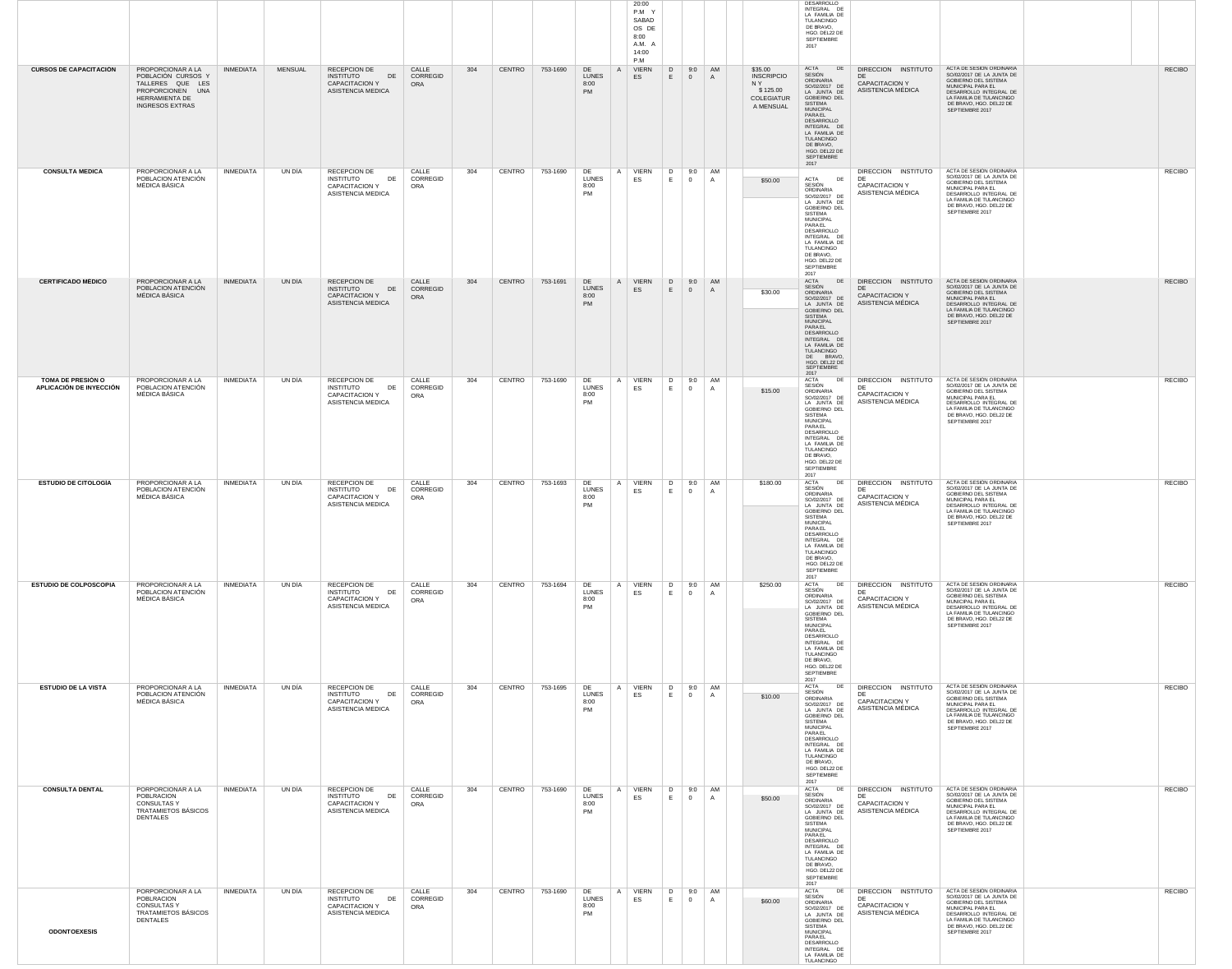|                                              |                                                                                                                             |                  |                |                                                                                             |                          |     |        |          |                                         | 20:00<br>P.M Y<br>SABAD<br>OS DE<br>8:00<br>A.M. A<br>14:00<br>P.M |                                                      |                             |                                                                            | DESARROLLO<br>INTEGRAL DE<br>LA FAMILIA DE<br>TULANCINGO<br>DE BRAVO,<br>HGO. DEL22 DE<br>SEPTIEMBRE<br>2017                                                                                                                                |                                                                           |                                                                                                                                                                                                        |               |
|----------------------------------------------|-----------------------------------------------------------------------------------------------------------------------------|------------------|----------------|---------------------------------------------------------------------------------------------|--------------------------|-----|--------|----------|-----------------------------------------|--------------------------------------------------------------------|------------------------------------------------------|-----------------------------|----------------------------------------------------------------------------|---------------------------------------------------------------------------------------------------------------------------------------------------------------------------------------------------------------------------------------------|---------------------------------------------------------------------------|--------------------------------------------------------------------------------------------------------------------------------------------------------------------------------------------------------|---------------|
| <b>CURSOS DE CAPACITACIÓN</b>                | PROPORCIONAR A LA<br>POBLACIÓN CURSOS Y<br>TALLERES QUE LES<br>PROPORCIONEN UNA<br>HERRAMIENTA DE<br><b>INGRESOS EXTRAS</b> | <b>INMEDIATA</b> | <b>MENSUAL</b> | RECEPCION DE<br><b>INSTITUTO</b><br>DE<br><b>CAPACITACION Y</b><br>ASISTENCIA MEDICA        | CALLE<br>CORREGID<br>ORA | 304 | CENTRO | 753-1690 | DE<br>LUNES<br>8:00<br>PM               | <b>VIERN</b><br>$\mathsf{A}$<br>ES                                 | D<br>E<br>$\mathbf{0}$                               | 9:0<br>AM<br>$\Delta$       | \$35.00<br><b>INSCRIPCIO</b><br>N Y<br>\$125.00<br>COLEGIATUR<br>A MENSUAL | ACTA DE<br>SESIÓN<br>ORDINARIA<br>SO/02/2017 DE<br>LA JUNTA DE<br>GOBIERNO DEL<br>SISTEMA<br>MUNICIPAL<br>PARAEL<br>DESARROLLO<br>INTEGRAL DE<br>LA FAMILIA DE<br>TULANCINGO<br>DE BRAVO,<br>HGO. DEL22 DE<br>SEPTIEMBRE<br>2017            | DIRECCION INSTITUTO<br>DE<br><b>CAPACITACION Y</b><br>ASISTENCIA MÉDICA   | ACTA DE SESIÓN ORDINARIA<br>SO/02/2017 DE LA JUNTA DE<br>GOBIERNO DEL SISTEMA<br>MUNICIPAL PARA EL<br>DESARROLLO INTEGRAL DE<br>LA FAMILIA DE TULANCINGO<br>DE BRAVO, HGO. DEL22 DE<br>SEPTIEMBRE 2017 | <b>RECIBO</b> |
| <b>CONSULTA MEDICA</b>                       | PROPORCIONAR A LA<br>POBLACION ATENCIÓN<br><b>MÉDICA BÁSICA</b>                                                             | <b>INMEDIATA</b> | UN DÍA         | RECEPCION DE<br><b>INSTITUTO</b><br>DE<br>CAPACITACION Y<br>ASISTENCIA MEDICA               | CALLE<br>CORREGID<br>ORA | 304 | CENTRO | 753-1690 | DE<br><b>LUNES</b><br>8:00<br>PM        | A VIERN<br>ES                                                      | D<br>Ε.<br>$\overline{0}$                            | 9:0 AM<br>$\overline{A}$    | \$50.00                                                                    | ACTA<br>DE<br>SESIÓN<br>ORDINARIA<br>SO/02/2017 DE<br>LA JUNTA DE<br>GOBIERNO DEL<br>SISTEMA<br>MUNICIPAL<br>PARAEL<br>DESARROLLO<br>INTEGRAL DE<br>LA FAMILIA DE<br>TULANCINGO<br>DE BRAVO,<br>HGO. DEL22 DE<br>SEPTIEMBRE<br>2017         | DIRECCION INSTITUTO<br>DF<br><b>CAPACITACION Y</b><br>ASISTENCIA MÉDICA   | ACTA DE SESIÓN ORDINARIA<br>SO/02/2017 DE LA JUNTA DE<br>GOBIERNO DEL SISTEMA<br>MUNICIPAL PARA EL<br>DESARROLLO INTEGRAL DE<br>LA FAMILIA DE TULANCINGO<br>DE BRAVO, HGO. DEL22 DE<br>SEPTIEMBRE 2017 | <b>RECIBO</b> |
| <b>CERTIFICADO MÉDICO</b>                    | PROPORCIONAR A LA<br>POBLACION ATENCIÓN<br>MÉDICA BÁSICA                                                                    | <b>INMEDIATA</b> | UN DÍA         | RECEPCION DE<br><b>INSTITUTO</b><br>DE<br><b>CAPACITACION Y</b><br>ASISTENCIA MEDICA        | CALLE<br>CORREGID<br>ORA | 304 | CENTRO | 753-1691 | DE<br><b>LUNES</b><br>8:00<br>PM        | A VIERN<br>ES                                                      | D<br>$\mathbf{0}$<br>E.                              | 9:0 AM<br>A                 | \$30.00                                                                    | ACTA<br>DE<br>SESIÓN<br>ORDINARIA<br>SO/02/2017 DE<br>LA JUNTA DE<br>GOBIERNO DEL<br>SISTEMA<br><b>MUNICIPAL</b><br>PARAEL<br>DESARROLLO<br>INTEGRAL DE<br>LA FAMILIA DE<br>TULANCINGO<br>DE BRAVO.<br>HGO. DEL22 DE<br>SEPTIEMBRE<br>2017  | DIRECCION INSTITUTO<br>DE<br><b>CAPACITACION Y</b><br>ASISTENCIA MÉDICA   | ACTA DE SESIÓN ORDINARIA<br>SO/02/2017 DE LA JUNTA DE<br>GOBIERNO DEL SISTEMA<br>MUNICIPAL PARA EL<br>DESARROLLO INTEGRAL DE<br>LA FAMILIA DE TULANCINGO<br>DE BRAVO, HGO. DEL22 DE<br>SEPTIEMBRE 2017 | <b>RECIBO</b> |
| TOMA DE PRESIÓN O<br>APLICACIÓN DE INYECCIÓN | PROPORCIONAR A LA<br>POBLACION ATENCIÓN<br>MÉDICA BÁSICA                                                                    | <b>INMEDIATA</b> | UN DÍA         | RECEPCION DE<br><b>INSTITUTO</b><br>DE<br><b>CAPACITACION Y</b><br>ASISTENCIA MEDICA        | CALLE<br>CORREGID<br>ORA | 304 | CENTRO | 753-1690 | DE<br><b>LUNES</b><br>8:00<br>PM        | A VIERN<br>ES                                                      | D<br>$\overline{0}$<br>E.                            | 9:0<br>AM<br>$\mathsf{A}$   | \$15.00                                                                    | ACTA<br>DE<br>SESIÓN<br>ORDINARIA<br>SO/02/2017 DE<br>LA JUNTA DE<br>GOBIERNO DEL<br>SISTEMA<br><b>MUNICIPAL</b><br>PARAEL<br>DESARROLLO<br>INTEGRAL DE<br>LA FAMILIA DE<br>TULANCINGO<br>DE BRAVO.<br>HGO. DEL22 DE<br>SEPTIEMBRE<br>2017  | DIRECCION INSTITUTO<br>- DF<br><b>CAPACITACION Y</b><br>ASISTENCIA MÉDICA | ACTA DE SESIÓN ORDINARIA<br>SO/02/2017 DE LA JUNTA DE<br>GOBIERNO DEL SISTEMA<br>MUNICIPAL PARA EL<br>DESARROLLO INTEGRAL DE<br>LA FAMILIA DE TULANCINGO<br>DE BRAVO, HGO. DEL22 DE<br>SEPTIEMBRE 2017 | <b>RECIBO</b> |
| <b>ESTUDIO DE CITOLOGÍA</b>                  | PROPORCIONAR A LA<br>POBLACION ATENCIÓN<br><b>MÉDICA BÁSICA</b>                                                             | <b>INMEDIATA</b> | UN DÍA         | RECEPCION DE<br><b>INSTITUTO</b><br>DE<br><b>CAPACITACION Y</b><br>ASISTENCIA MEDICA        | CALLE<br>CORREGID<br>ORA | 304 | CENTRO | 753-1693 | DE<br><b>LUNES</b><br>8:00<br>PM        | A VIERN<br>ES                                                      | D<br>E<br>$\overline{0}$                             | 9:0<br>AM<br>A              | \$180.00                                                                   | ACTA<br>DE<br>SESIÓN<br>ORDINARIA<br>SO/02/2017 DE<br>LA JUNTA DE<br>GOBIERNO DEL<br>SISTEMA<br>MUNICIPAL<br><b>PARA EL</b><br>DESARROLLO<br>INTEGRAL DE<br>LA FAMILIA DE<br>TULANCINGO<br>DE BRAVO,<br>HGO. DEL22 DE<br>SEPTIEMBRE<br>2017 | DIRECCION INSTITUTO<br>DF<br>CAPACITACION Y<br>ASISTENCIA MÉDICA          | ACTA DE SESIÓN ORDINARIA<br>SO/02/2017 DE LA JUNTA DE<br>GOBIERNO DEL SISTEMA<br>MUNICIPAL PARA EL<br>DESARROLLO INTEGRAL DE<br>LA FAMILIA DE TULANCINGO<br>DE BRAVO, HGO. DEL22 DE<br>SEPTIEMBRE 2017 | <b>RECIBO</b> |
| <b>ESTUDIO DE COLPOSCOPIA</b>                | PROPORCIONAR A LA<br>POBLACION ATENCIÓN<br>MÉDICA BÁSICA                                                                    | <b>INMEDIATA</b> | UN DÍA         | <b>RECEPCION DE</b><br><b>INSTITUTO</b><br>DE<br>CAPACITACION Y<br>ASISTENCIA MEDICA        | CALLE<br>CORREGID<br>ORA | 304 | CENTRO | 753-1694 | DE<br>LUNES<br>8:00<br><b>PM</b>        | VIERN<br>A<br>ES                                                   | D<br>E.<br>$\overline{0}$                            | 9:0<br>AM<br>$\overline{A}$ | \$250.00                                                                   | ACTA<br>DE<br>SESIÓN<br>ORDINARIA<br>SO/02/2017 DE<br>LA JUNTA DE<br>GOBIERNO DEL<br><b>SISTEMA</b><br>MUNICIPAL<br>PARAEL<br>DESARROLLO<br>INTEGRAL DE<br>LA FAMILIA DE<br>TULANCINGO<br>DE BRAVO,<br>HGO. DEL22 DE<br>SEPTIEMBRE          | DIRECCION INSTITUTO<br>CAPACITACION Y<br>ASISTENCIA MÉDICA                | ACTA DE SESIÓN ORDINARIA<br>SO/02/2017 DE LA JUNTA DE<br>GOBIERNO DEL SISTEMA<br>MUNICIPAL PARA EL<br>DESARROLLO INTEGRAL DE<br>LA FAMILIA DE TULANCINGO<br>DE BRAVO, HGO. DEL22 DE<br>SEPTIEMBRE 2017 | <b>RECIBO</b> |
| <b>ESTUDIO DE LA VISTA</b>                   | PROPORCIONAR A LA<br>POBLACION ATENCIÓN<br><b>MÉDICA BÁSICA</b>                                                             | <b>INMEDIATA</b> | UN DÍA         | RECEPCION DE<br><b>INSTITUTO</b><br>DE<br>CAPACITACION Y<br>ASISTENCIA MEDICA               | CALLE<br>CORREGID<br>ORA | 304 | CENTRO | 753-1695 | DE<br>LUNES<br>8:00<br><b>PM</b>        | VIERN<br>$\mathsf{A}$<br>ES                                        | D<br>E<br>$\begin{array}{ccc} \n & 0 \n \end{array}$ | AM<br>9:0<br>$\overline{A}$ | \$10.00                                                                    | 2017<br>ACTA<br>DE<br>SESIÓN<br>ORDINARIA<br>SO/02/2017 DE<br>LA JUNTA DE<br>GOBIERNO DEL<br>SISTEMA<br>MUNICIPAL<br>PARAEL<br>DESARROLLO<br>INTEGRAL DE<br>LA FAMILIA DE<br>TULANCINGO<br>DE BRAVO,<br>HGO. DEL22 DE<br>SEPTIEMBRE<br>2017 | DIRECCION INSTITUTO<br><b>DF</b><br>CAPACITACION Y<br>ASISTENCIA MÉDICA   | ACTA DE SESIÓN ORDINARIA<br>SO/02/2017 DE LA JUNTA DE<br>GOBIERNO DEL SISTEMA<br>MUNICIPAL PARA EL<br>DESARROLLO INTEGRAL DE<br>LA FAMILIA DE TULANCINGO<br>DE BRAVO, HGO. DEL22 DE<br>SEPTIEMBRE 2017 | <b>RECIBO</b> |
| <b>CONSULTA DENTAL</b>                       | PORPORCIONAR A LA<br><b>POBLRACION</b><br><b>CONSULTAS Y</b><br>TRATAMIETOS BÁSICOS<br>DENTALES                             | <b>INMEDIATA</b> | UN DÍA         | <b>RECEPCION DE</b><br><b>INSTITUTO</b><br>DE<br><b>CAPACITACION Y</b><br>ASISTENCIA MEDICA | CALLE<br>CORREGID<br>ORA | 304 | CENTRO | 753-1690 | DE<br><b>LUNES</b><br>8:00<br><b>PM</b> | <b>VIERN</b><br>A<br>ES                                            | D<br>E.<br>$\overline{0}$                            | 9:0<br>AM<br>$\overline{A}$ | \$50.00                                                                    | ACTA<br>DE<br>SESIÓN<br>ORDINARIA<br>SO/02/2017 DE<br>LA JUNTA DE<br>GOBIERNO DEL<br>SISTEMA<br>MUNICIPAL<br>PARAEL<br>DESARROLLO<br>INTEGRAL DE<br>LA FAMILIA DE<br>TULANCINGO<br>DE BRAVO,<br>HGO. DEL22 DE<br>SEPTIEMBRE<br>2017         | DIRECCION INSTITUTO<br>DF<br><b>CAPACITACION Y</b><br>ASISTENCIA MÉDICA   | ACTA DE SESIÓN ORDINARIA<br>SO/02/2017 DE LA JUNTA DE<br>GOBIERNO DEL SISTEMA<br>MUNICIPAL PARA EL<br>DESARROLLO INTEGRAL DE<br>LA FAMILIA DE TULANCINGO<br>DE BRAVO, HGO. DEL22 DE<br>SEPTIEMBRE 2017 | <b>RECIBO</b> |
| <b>ODONTOEXESIS</b>                          | PORPORCIONAR A LA<br>POBLRACION<br><b>CONSULTAS Y</b><br>TRATAMIETOS BÁSICOS<br>DENTALES                                    | <b>INMEDIATA</b> | UN DÍA         | RECEPCION DE<br><b>INSTITUTO</b><br>DE<br>CAPACITACION Y<br>ASISTENCIA MEDICA               | CALLE<br>CORREGID<br>ORA | 304 | CENTRO | 753-1690 | DE<br><b>LUNES</b><br>8:00<br><b>PM</b> | VIERN<br>A<br>ES                                                   | D<br>E<br>$\overline{0}$                             | 9:0<br>AM<br>$\mathsf{A}$   | \$60.00                                                                    | ACTA<br>DE<br>SESIÓN<br>ORDINARIA<br>SO/02/2017 DE<br>LA JUNTA DE<br>GOBIERNO DEL<br>SISTEMA<br><b>MUNICIPAL</b><br><b>PARA EL</b><br>DESARROLLO<br>INTEGRAL DE<br>LA FAMILIA DE<br>TULANCINGO                                              | DIRECCION INSTITUTO<br>DF<br><b>CAPACITACION Y</b><br>ASISTENCIA MÉDICA   | ACTA DE SESIÓN ORDINARIA<br>SO/02/2017 DE LA JUNTA DE<br>GOBIERNO DEL SISTEMA<br>MUNICIPAL PARA EL<br>DESARROLLO INTEGRAL DE<br>LA FAMILIA DE TULANCINGO<br>DE BRAVO, HGO. DEL22 DE<br>SEPTIEMBRE 2017 | <b>RECIBO</b> |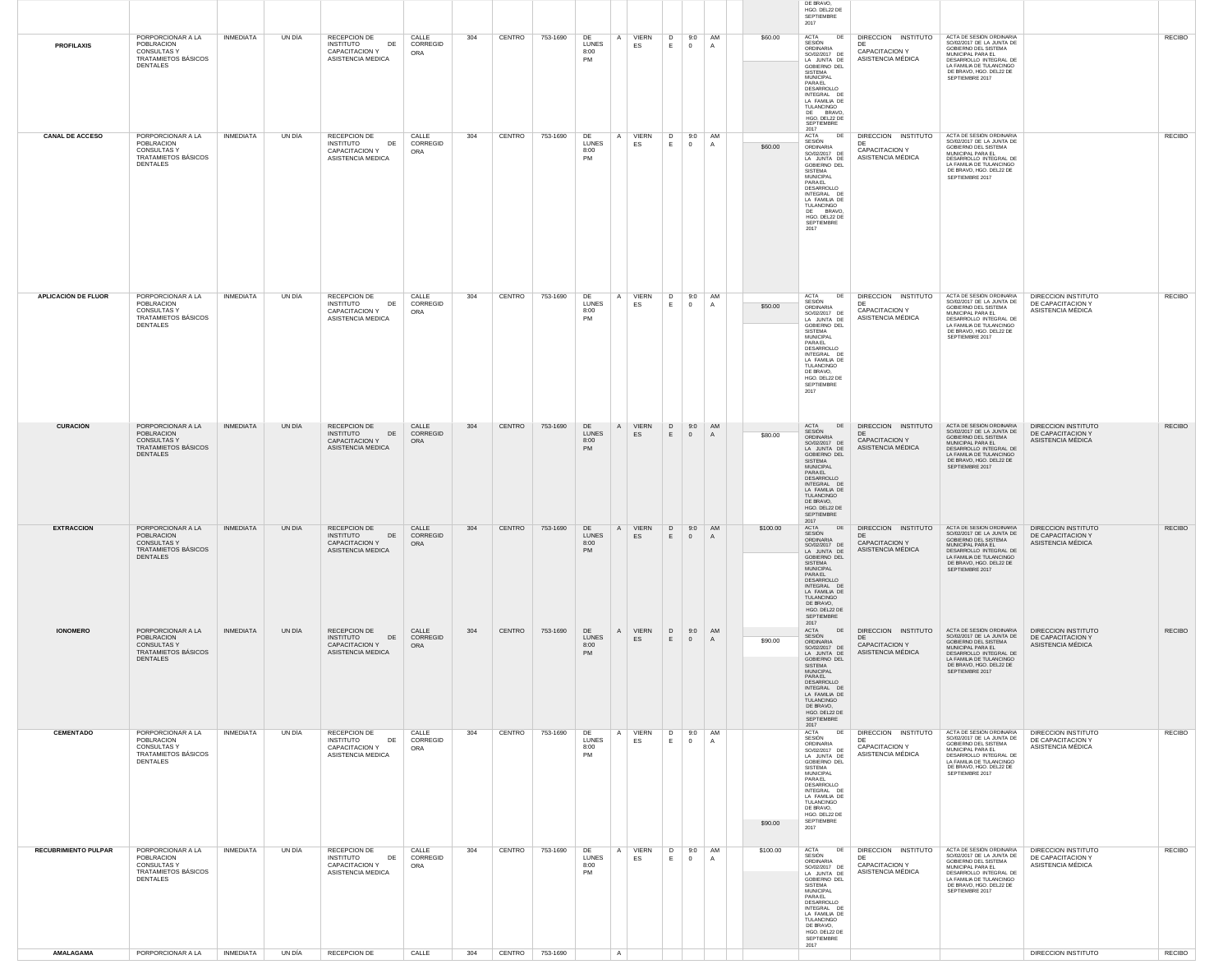|                             |                                                                                                 |                  |        |                                                                                      |                          |     |                 |          |                                              |                    |                                   |                          |          | DE BRAVO,<br>HGO. DEL22 DE<br>SEPTIEMBRE<br>2017                                                                                                                                                                                                  |                                                                         |                                                                                                                                                                                                        |                                                                      |               |
|-----------------------------|-------------------------------------------------------------------------------------------------|------------------|--------|--------------------------------------------------------------------------------------|--------------------------|-----|-----------------|----------|----------------------------------------------|--------------------|-----------------------------------|--------------------------|----------|---------------------------------------------------------------------------------------------------------------------------------------------------------------------------------------------------------------------------------------------------|-------------------------------------------------------------------------|--------------------------------------------------------------------------------------------------------------------------------------------------------------------------------------------------------|----------------------------------------------------------------------|---------------|
| <b>PROFILAXIS</b>           | PORPORCIONAR A LA<br>POBLRACION<br><b>CONSULTAS Y</b><br>TRATAMIETOS BÁSICOS<br><b>DENTALES</b> | <b>INMEDIATA</b> | UN DÍA | RECEPCION DE<br><b>INSTITUTO</b><br>DE<br>CAPACITACION Y<br>ASISTENCIA MEDICA        | CALLE<br>CORREGID<br>ORA | 304 | CENTRO          | 753-1690 | DE<br><b>LUNES</b><br>8:00<br>PM             | A VIERN<br>ES      | D<br>$\overline{0}$<br>E.         | 9:0 AM<br>$\overline{A}$ | \$60.00  | ACTA<br>DE<br>SESIÓN<br>ORDINARIA<br>SO/02/2017 DE<br>LA JUNTA DE<br>GOBIERNO DEL<br>SISTEMA<br>MUNICIPAL<br>PARAEL<br>DESARROLLO<br>INTEGRAL DE<br>LA FAMILIA DE<br>TULANCINGO<br>DE BRAVO,<br>HGO. DEL22 DE<br>SEPTIEMBRE<br>2017               | DIRECCION INSTITUTO<br><b>CAPACITACION Y</b><br>ASISTENCIA MÉDICA       | ACTA DE SESIÓN ORDINARIA<br>SO/02/2017 DE LA JUNTA DE<br>GOBIERNO DEL SISTEMA<br>MUNICIPAL PARA EL<br>DESARROLLO INTEGRAL DE<br>LA FAMILIA DE TULANCINGO<br>DE BRAVO, HGO. DEL22 DE<br>SEPTIEMBRE 2017 |                                                                      | <b>RECIBO</b> |
| <b>CANAL DE ACCESO</b>      | PORPORCIONAR A LA<br>POBLRACION<br><b>CONSULTAS Y</b><br>TRATAMIETOS BÁSICOS<br><b>DENTALES</b> | <b>INMEDIATA</b> | UN DÍA | RECEPCION DE<br>DE<br><b>INSTITUTO</b><br>CAPACITACION Y<br>ASISTENCIA MEDICA        | CALLE<br>CORREGID<br>ORA | 304 | CENTRO          | 753-1690 | DE<br>A<br><b>LUNES</b><br>8:00<br>PM        | <b>VIERN</b><br>ES | D<br>9:0<br>$\overline{0}$<br>Е.  | AM<br>A                  | \$60.00  | DE<br><b>ACTA</b><br>SESIÓN<br>ORDINARIA<br>SO/02/2017 DE<br>LA JUNTA DE<br>GOBIERNO DEL<br>SISTEMA<br><b>MUNICIPAL</b><br>PARAEL<br>DESARROLLO<br>INTEGRAL DE<br>LA FAMILIA DE<br>TULANCINGO<br>DE BRAVO,<br>HGO. DEL22 DE<br>SEPTIEMBRE<br>2017 | DIRECCION INSTITUTO<br>DE<br><b>CAPACITACION Y</b><br>ASISTENCIA MÉDICA | ACTA DE SESIÓN ORDINARIA<br>SO/02/2017 DE LA JUNTA DE<br>GOBIERNO DEL SISTEMA<br>MUNICIPAL PARA EL<br>DESARROLLO INTEGRAL DE<br>LA FAMILIA DE TULANCINGO<br>DE BRAVO, HGO. DEL22 DE<br>SEPTIEMBRE 2017 |                                                                      | <b>RECIBO</b> |
| <b>APLICACIÓN DE FLUOR</b>  | PORPORCIONAR A LA<br>POBLRACION<br><b>CONSULTAS Y</b><br>TRATAMIETOS BÁSICOS<br><b>DENTALES</b> | <b>INMEDIATA</b> | UN DÍA | RECEPCION DE<br><b>INSTITUTO</b><br>DE<br><b>CAPACITACION Y</b><br>ASISTENCIA MEDICA | CALLE<br>CORREGID<br>ORA | 304 | CENTRO          | 753-1690 | DE<br><b>LUNES</b><br>8:00<br><b>PM</b>      | A VIERN<br>ES      | D<br>9:0<br>E<br>$\overline{0}$   | AM<br>$\overline{A}$     | \$50.00  | ACTA<br>DE<br>SESIÓN<br>ORDINARIA<br>SO/02/2017 DE<br>LA JUNTA DE<br>GOBIERNO DEL<br>SISTEMA<br>MUNICIPAL<br>PARAEL<br>DESARROLLO<br>INTEGRAL DE<br>LA FAMILIA DE<br>TULANCINGO<br>DE BRAVO,<br>HGO. DEL22 DE<br>SEPTIEMBRE<br>2017               | DIRECCION INSTITUTO<br>DE<br>CAPACITACION Y<br>ASISTENCIA MÉDICA        | ACTA DE SESIÓN ORDINARIA<br>SO/02/2017 DE LA JUNTA DE<br>GOBIERNO DEL SISTEMA<br>MUNICIPAL PARA EL<br>DESARROLLO INTEGRAL DE<br>LA FAMILIA DE TULANCINGO<br>DE BRAVO, HGO. DEL22 DE<br>SEPTIEMBRE 2017 | DIRECCION INSTITUTO<br>DE CAPACITACION Y<br>ASISTENCIA MÉDICA        | <b>RECIBO</b> |
| <b>CURACIÓN</b>             | PORPORCIONAR A LA<br>POBLRACION<br><b>CONSULTAS Y</b><br>TRATAMIETOS BÁSICOS<br><b>DENTALES</b> | <b>INMEDIATA</b> | UN DÍA | RECEPCION DE<br>DE<br><b>INSTITUTO</b><br>CAPACITACION Y<br>ASISTENCIA MEDICA        | CALLE<br>CORREGID<br>ORA | 304 | CENTRO          | 753-1690 | DE<br><b>LUNES</b><br>8:00<br>PM             | A VIERN<br>ES      | D<br>$\overline{0}$<br>E          | 9:0 AM<br>$\overline{A}$ | \$80.00  | <b>ACTA</b><br>DE<br>SESIÓN<br>ORDINARIA<br>SO/02/2017 DE<br>LA JUNTA DE<br>GOBIERNO DEL<br><b>SISTEMA</b><br>MUNICIPAL<br>PARAEL<br>DESARROLLO<br>INTEGRAL DE<br>LA FAMILIA DE<br>TULANCINGO<br>DE BRAVO,<br>HGO. DEL22 DE<br>SEPTIEMBRE<br>2017 | DIRECCION INSTITUTO<br>CAPACITACION Y<br>ASISTENCIA MÉDICA              | ACTA DE SESIÓN ORDINARIA<br>SO/02/2017 DE LA JUNTA DE<br>GOBIERNO DEL SISTEMA<br>MUNICIPAL PARA EL<br>DESARROLLO INTEGRAL DE<br>LA FAMILIA DE TULANCINGO<br>DE BRAVO, HGO. DEL22 DE<br>SEPTIEMBRE 2017 | <b>DIRECCION INSTITUTO</b><br>DE CAPACITACION Y<br>ASISTENCIA MÉDICA | <b>RECIBO</b> |
| <b>EXTRACCIÓN</b>           | PORPORCIONAR A LA<br>POBLRACION<br><b>CONSULTASY</b><br>TRATAMIETOS BÁSICOS<br><b>DENTALES</b>  | INMEDIATA        | UN DÍA | RECEPCION DE<br><b>INSTITUTO</b><br>DE<br>CAPACITACION Y<br>ASISTENCIA MEDICA        | CALLE<br>CORREGID<br>ORA | 304 | CENTRO          | 753-1690 | DE<br><b>LUNES</b><br>8:00<br>PM             | A VIERN<br>ES      | D.<br>9:0<br>E.<br>$\overline{0}$ | <b>AM</b><br>A           | \$100.00 | ACTA<br>DE<br>SESIÓN<br><b>ORDINARIA</b><br>SO/02/2017 DE<br>LA JUNTA DE<br>GOBIERNO DEL<br>SISTEMA<br><b>MUNICIPAL</b><br>PARAEL<br>DESARROLLO<br>INTEGRAL DE<br>LA FAMILIA DE<br>TULANCINGO<br>DE BRAVO,<br>HGO. DEL22 DE<br>SEPTIEMBRE<br>2017 | DIRECCION INSTITUTO<br>DE<br><b>CAPACITACION Y</b><br>ASISTENCIA MÉDICA | ACTA DE SESIÓN ORDINARIA<br>SO/02/2017 DE LA JUNTA DE<br>GOBIERNO DEL SISTEMA<br>MUNICIPAL PARA EL<br>DESARROLLO INTEGRAL DE<br>LA FAMILIA DE TULANCINGO<br>DE BRAVO, HGO. DEL22 DE<br>SEPTIEMBRE 2017 | <b>DIRECCION INSTITUTO</b><br>DE CAPACITACION Y<br>ASISTENCIA MÉDICA | <b>RECIBO</b> |
| <b>IONOMERO</b>             | PORPORCIONAR A LA<br>POBLRACION<br><b>CONSULTAS Y</b><br>TRATAMIETOS BÁSICOS<br><b>DENTALES</b> | <b>INMEDIATA</b> | UN DÍA | RECEPCION DE<br><b>INSTITUTO</b><br>DE<br>CAPACITACION Y<br>ASISTENCIA MEDICA        | CALLE<br>CORREGID<br>ORA | 304 | CENTRO          | 753-1690 | DE<br>A<br><b>LUNES</b><br>8:00<br><b>PM</b> | <b>VIERN</b><br>ES | D<br>E.<br>$\overline{0}$         | 9:0 AM<br>A              | \$90.00  | ACTA<br>DE<br>SESIÓN<br>ORDINARIA<br>SO/02/2017 DE<br>LA JUNTA DE<br>GOBIERNO DEL<br><b>SISTEMA</b><br><b>MUNICIPAL</b><br>PARAEL<br>DESARROLLO<br>INTEGRAL DE<br>LA FAMILIA DE<br>TULANCINGO<br>DE BRAVO,<br>HGO. DEL22 DE<br>SEPTIEMBRE<br>2017 | DIRECCION INSTITUTO<br>DE<br>CAPACITACION Y<br>ASISTENCIA MÉDICA        | ACTA DE SESIÓN ORDINARIA<br>SO/02/2017 DE LA JUNTA DE<br>GOBIERNO DEL SISTEMA<br>MUNICIPAL PARA EL<br>DESARROLLO INTEGRAL DE<br>LA FAMILIA DE TULANCINGO<br>DE BRAVO, HGO. DEL22 DE<br>SEPTIEMBRE 2017 | DIRECCION INSTITUTO<br>DE CAPACITACION Y<br>ASISTENCIA MÉDICA        | <b>RECIBO</b> |
| <b>CEMENTADO</b>            | PORPORCIONAR A LA<br>POBLRACION<br><b>CONSULTAS Y</b><br>TRATAMIETOS BÁSICOS<br>DENTALES        | INMEDIATA        | UN DÍA | RECEPCION DE<br><b>INSTITUTO</b><br>DE<br>CAPACITACION Y<br>ASISTENCIA MEDICA        | CALLE<br>CORREGID<br>ORA | 304 | CENTRO          | 753-1690 | DE<br>A<br>LUNES<br>8:00<br>PM               | VIERN<br>ES        | D<br>E<br>$\overline{0}$          | 9:0 AM<br>$\mathsf{A}$   | \$90.00  | ACTA<br>DE<br>SESIÓN<br>ORDINARIA<br>SO/02/2017 DE<br>LA JUNTA DE<br>GOBIERNO DEL<br>SISTEMA<br>MUNICIPAL<br>PARAEL<br>DESARROLLO<br>INTEGRAL DE<br>LA FAMILIA DE<br>TULANCINGO<br>DE BRAVO,<br>HGO. DEL22 DE<br>SEPTIEMBRE<br>2017               | DIRECCION INSTITUTO<br>CAPACITACION Y<br>ASISTENCIA MÉDICA              | ACTA DE SESIÓN ORDINARIA<br>SO/02/2017 DE LA JUNTA DE<br>GOBIERNO DEL SISTEMA<br>MUNICIPAL PARA EL<br>DESARROLLO INTEGRAL DE<br>LA FAMILIA DE TULANCINGO<br>DE BRAVO, HGO. DEL22 DE<br>SEPTIEMBRE 2017 | DIRECCION INSTITUTO<br>DE CAPACITACION Y<br>ASISTENCIA MÉDICA        | <b>RECIBO</b> |
| <b>RECUBRIMIENTO PULPAR</b> | PORPORCIONAR A LA<br>POBLRACION<br><b>CONSULTAS Y</b><br>TRATAMIETOS BÁSICOS<br><b>DENTALES</b> | <b>INMEDIATA</b> | UN DÍA | RECEPCION DE<br><b>INSTITUTO</b><br>DE<br>CAPACITACION Y<br>ASISTENCIA MEDICA        | CALLE<br>CORREGID<br>ORA | 304 | CENTRO          | 753-1690 | DE<br>LUNES<br>8:00<br>PM                    | A VIERN<br>ES      | D<br>E<br>$\overline{0}$          | 9:0 AM<br>$\overline{A}$ | \$100.00 | ACTA<br>DE<br>SESIÓN<br>ORDINARIA<br>SO/02/2017 DE<br>LA JUNTA DE<br>GOBIERNO DEL<br><b>SISTEMA</b><br>MUNICIPAL<br>PARAEL<br>DESARROLLO<br>INTEGRAL DE<br>LA FAMILIA DE<br>TULANCINGO<br>DE BRAVO,<br>HGO. DEL22 DE<br>SEPTIEMBRE                | DIRECCION INSTITUTO<br>DE<br><b>CAPACITACION Y</b><br>ASISTENCIA MÉDICA | ACTA DE SESIÓN ORDINARIA<br>SO/02/2017 DE LA JUNTA DE<br>GOBIERNO DEL SISTEMA<br>MUNICIPAL PARA EL<br>DESARROLLO INTEGRAL DE<br>LA FAMILIA DE TULANCINGO<br>DE BRAVO, HGO. DEL22 DE<br>SEPTIEMBRE 2017 | DIRECCION INSTITUTO<br>DE CAPACITACION Y<br>ASISTENCIA MÉDICA        | <b>RECIBO</b> |
| AMALAGAMA                   | PORPORCIONAR A LA                                                                               | INMEDIATA        | UN DÍA | RECEPCION DE                                                                         | CALLE                    | 304 | CENTRO 753-1690 |          | $\mathsf{A}$                                 |                    |                                   |                          |          | 2017                                                                                                                                                                                                                                              |                                                                         |                                                                                                                                                                                                        | DIRECCION INSTITUTO                                                  | <b>RECIBO</b> |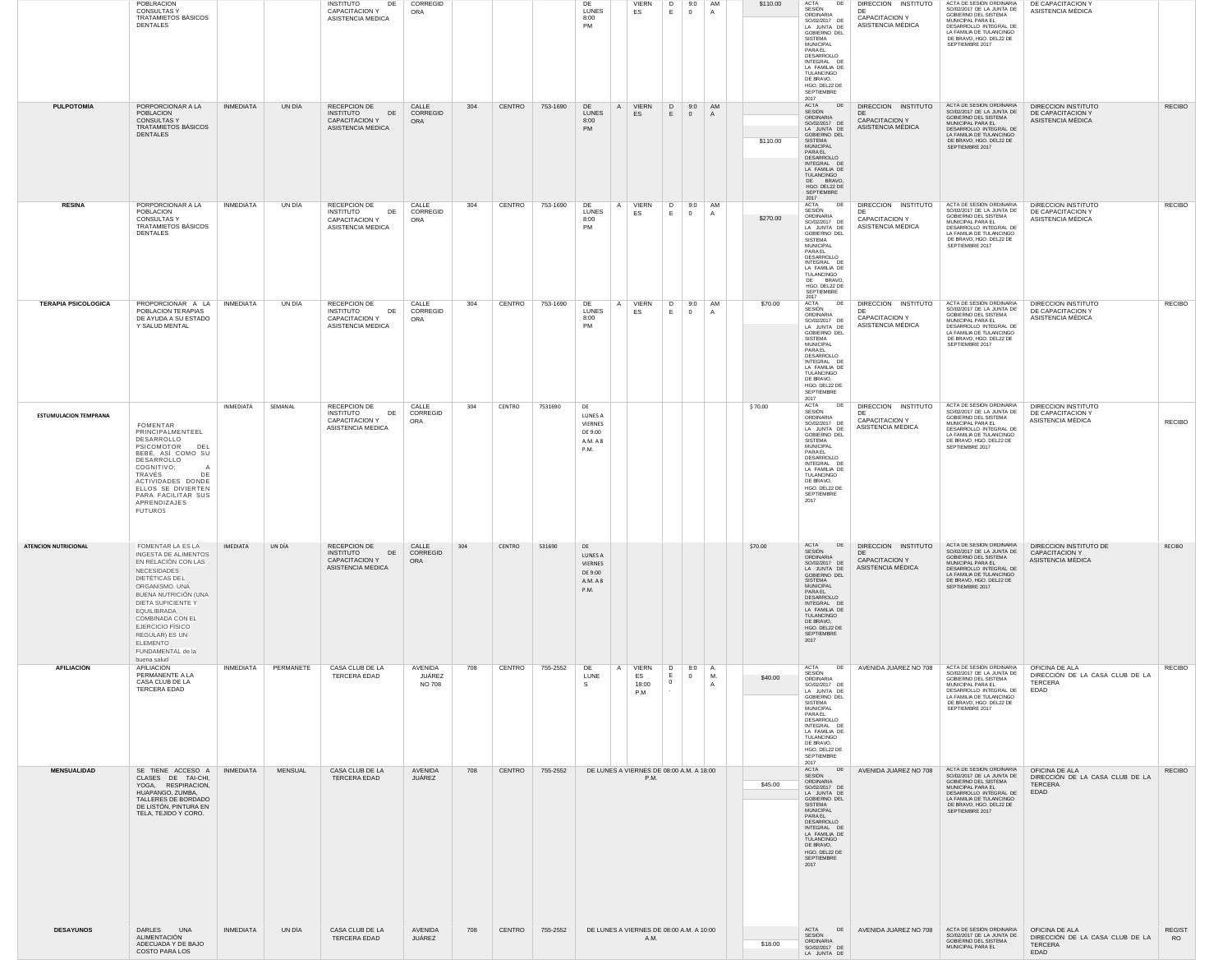|                              | <b>POBLRACION</b><br><b>CONSULTAS Y</b><br>TRATAMIETOS BÁSICOS<br>DENTALES                                                                                                                                                                                                                                      |                  |                | <b>INSTITUTO</b><br>DE<br>CAPACITACION Y<br>ASISTENCIA MEDICA                        | CORREGID<br>ORA                    |     |        |          | DE<br><b>LUNES</b><br>8:00<br><b>PM</b>                 | <b>VIERN</b><br>ES          | D 9:0 AM<br>$E \mid 0$                   | A                        | \$110.00 | DE<br><b>ACTA</b><br>SESIÓN<br>ORDINARIA<br>SO/02/2017 DE<br>LA JUNTA DE<br>GOBIERNO DEL<br>SISTEMA<br><b>MUNICIPAL</b><br>PARAEL<br>DESARROLLO<br>INTEGRAL DE<br>LA FAMILIA DE<br>TULANCINGO<br>DE BRAVO,<br>HGO. DEL22 DE<br>SEPTIEMBRE<br>2017  | DIRECCION INSTITUTO<br>DE<br>CAPACITACION Y<br>ASISTENCIA MÉDICA                                                                | ACTA DE SESIÓN ORDINARIA<br>SO/02/2017 DE LA JUNTA DE<br>GOBIERNO DEL SISTEMA<br>MUNICIPAL PARA EL<br>DESARROLLO INTEGRAL DE<br>LA FAMILIA DE TULANCINGO<br>DE BRAVO, HGO. DEL22 DE<br>SEPTIEMBRE 2017 | DE CAPACITACION Y<br>ASISTENCIA MÉDICA                                      |                            |
|------------------------------|-----------------------------------------------------------------------------------------------------------------------------------------------------------------------------------------------------------------------------------------------------------------------------------------------------------------|------------------|----------------|--------------------------------------------------------------------------------------|------------------------------------|-----|--------|----------|---------------------------------------------------------|-----------------------------|------------------------------------------|--------------------------|----------|----------------------------------------------------------------------------------------------------------------------------------------------------------------------------------------------------------------------------------------------------|---------------------------------------------------------------------------------------------------------------------------------|--------------------------------------------------------------------------------------------------------------------------------------------------------------------------------------------------------|-----------------------------------------------------------------------------|----------------------------|
| <b>PULPOTOMÍA</b>            | PORPORCIONAR A LA<br><b>POBLACION</b><br><b>CONSULTASY</b><br>TRATAMIETOS BÁSICOS<br><b>DENTALES</b>                                                                                                                                                                                                            | <b>INMEDIATA</b> | UN DÍA         | RECEPCION DE<br>DE<br>INSTITUTO<br><b>CAPACITACION Y</b><br>ASISTENCIA MEDICA        | CALLE<br>CORREGID<br>ORA           | 304 | CENTRO | 753-1690 | DE<br><b>LUNES</b><br>8:00<br><b>PM</b>                 | A VIERN<br>ES               | D<br>$E \qquad 0$                        | 9:0 AM<br>A              | \$110.00 | ACTA DE<br>SESIÓN<br>ORDINARIA<br>SO/02/2017 DE<br>LA JUNTA DE<br>GOBIERNO DEL<br>SISTEMA<br>MUNICIPAL<br>PARAEL<br>DESARROLLO<br>INTEGRAL DE<br>LA FAMILIA DE<br>TULANCINGO<br>DE BRAVO,<br>HGO. DEL22 DE<br>SEPTIEMBRE<br>2017                   | DIRECCION INSTITUTO<br>DE<br><b>CAPACITACION Y</b><br>ASISTENCIA MÉDICA                                                         | ACTA DE SESIÓN ORDINARIA<br>SO/02/2017 DE LA JUNTA DE<br>GOBIERNO DEL SISTEMA<br>MUNICIPAL PARA EL<br>DESARROLLO INTEGRAL DE<br>LA FAMILIA DE TULANCINGO<br>DE BRAVO, HGO. DEL22 DE<br>SEPTIEMBRE 2017 | DIRECCION INSTITUTO<br>DE CAPACITACION Y<br>ASISTENCIA MÉDICA               | <b>RECIBO</b>              |
| <b>RESINA</b>                | PORPORCIONAR A LA<br>POBLACION<br><b>CONSULTAS Y</b><br>TRATAMIETOS BÁSICOS<br>DENTALES                                                                                                                                                                                                                         | <b>INMEDIATA</b> | UN DÍA         | RECEPCION DE<br>DE<br>INSTITUTO<br><b>CAPACITACION Y</b><br>ASISTENCIA MEDICA        | CALLE<br>CORREGID<br>ORA           | 304 | CENTRO | 753-1690 | DE<br>LUNES<br>8:00<br><b>PM</b>                        | A VIERN<br>ES               | D<br>E.<br>$\overline{0}$                | 9:0 AM<br>A              | \$270.00 | DE<br>ACTA<br>SESIÓN<br>ORDINARIA<br>SO/02/2017 DE<br>LA JUNTA DE<br>GOBIERNO DEL<br>SISTEMA<br>MUNICIPAL<br>PARAEL<br>DESARROLLO<br>INTEGRAL DE<br>LA FAMILIA DE<br>TULANCINGO<br>DE BRAVO<br>HGO. DEL22 DE<br>SEPTIEMBRE<br>2017                 | DIRECCION INSTITUTO<br>DF<br><b>CAPACITACION Y</b><br>ASISTENCIA MÉDICA                                                         | ACTA DE SESIÓN ORDINARIA<br>SO/02/2017 DE LA JUNTA DE<br>GOBIERNO DEL SISTEMA<br>MUNICIPAL PARA EL<br>DESARROLLO INTEGRAL DE<br>LA FAMILIA DE TULANCINGO<br>DE BRAVO, HGO. DEL22 DE<br>SEPTIEMBRE 2017 | DIRECCION INSTITUTO<br>DE CAPACITACION Y<br>ASISTENCIA MÉDICA               | <b>RECIBO</b>              |
| <b>TERAPIA PSICOLOGICA</b>   | PROPORCIONAR A LA<br>POBLACION TERAPIAS<br>DE AYUDA A SU ESTADO<br>Y SALUD MENTAL                                                                                                                                                                                                                               | <b>INMEDIATA</b> | UN DÍA         | RECEPCION DE<br>DE<br>INSTITUTO<br>CAPACITACION Y<br>ASISTENCIA MEDICA               | CALLE<br>CORREGID<br>ORA           | 304 | CENTRO | 753-1690 | DE<br><b>LUNES</b><br>8:00<br>PM                        | A VIERN<br>ES               | D<br>E.<br>$\overline{0}$                | 9:0 AM<br>$\overline{A}$ | \$70.00  | DE<br><b>ACTA</b><br>SESIÓN<br>ORDINARIA<br>SO/02/2017 DE<br>LA JUNTA DE<br>GOBIERNO DEL<br><b>SISTEMA</b><br>MUNICIPAL<br>PARAEL<br>DESARROLLO<br>INTEGRAL DE<br>LA FAMILIA DE<br>TULANCINGO<br>DE BRAVO,<br>HGO. DEL22 DE<br>SEPTIEMBRE          | DIRECCION INSTITUTO<br>DF<br>CAPACITACION Y<br>ASISTENCIA MÉDICA                                                                | ACTA DE SESIÓN ORDINARIA<br>SO/02/2017 DE LA JUNTA DE<br>GOBIERNO DEL SISTEMA<br>MUNICIPAL PARA EL<br>DESARROLLO INTEGRAL DE<br>LA FAMILIA DE TULANCINGO<br>DE BRAVO, HGO. DEL22 DE<br>SEPTIEMBRE 2017 | DIRECCION INSTITUTO<br>DE CAPACITACION Y<br>ASISTENCIA MÉDICA               | <b>RECIBO</b>              |
| <b>ESTUMULACION TEMPRANA</b> | FOMENTAR<br>PRINCIPALMENTEEL<br>DESARROLLO<br>PSICOMOTOR<br>DEL<br>BEBÉ, ASÍ COMO SU<br>DESARROLLO<br>COGNITIVO;<br>TRAVÉS<br>DE<br>ACTIVIDADES DONDE<br>ELLOS SE DIVIERTEN<br>PARA FACILITAR SUS<br>APRENDIZAJES<br>FUTUROS                                                                                    | INMEDIATA        | SEMANAL        | RECEPCION DE<br><b>INSTITUTO</b><br>DE<br><b>CAPACITACION Y</b><br>ASISTENCIA MEDICA | CALLE<br>CORREGID<br>ORA           | 304 | CENTRO | 7531690  | DE<br>LUNES A<br>VIERNES<br>DE 9:00<br>A.M. A 8<br>P.M. |                             |                                          |                          | \$70.00  | 2017<br>ACTA<br>DE<br>SESIÓN<br>ORDINARIA<br>SO/02/2017 DE<br>LA JUNTA DE<br>GOBIERNO DEL<br>SISTEMA<br><b>MUNICIPAL</b><br>PARAEL<br>DESARROLLO<br>INTEGRAL DE<br>LA FAMILIA DE<br>TULANCINGO<br>DE BRAVO,<br>HGO. DEL22 DE<br>SEPTIEMBRE<br>2017 | DIRECCION INSTITUTO<br>DF<br>CAPACITACION Y<br>ASISTENCIA MÉDICA                                                                | ACTA DE SESIÓN ORDINARIA<br>SO/02/2017 DE LA JUNTA DE<br>GOBIERNO DEL SISTEMA<br>MUNICIPAL PARA EL<br>DESARROLLO INTEGRAL DE<br>LA FAMILIA DE TULANCINGO<br>DE BRAVO, HGO. DEL22 DE<br>SEPTIEMBRE 2017 | DIRECCION INSTITUTO<br>DE CAPACITACION Y<br>ASISTENCIA MÉDICA               | <b>RECIBO</b>              |
| <b>ATENCION NUTRICIONAL</b>  | FOMENTAR LA ES LA<br><b>INGESTA DE ALIMENTOS</b><br>EN RELACIÓN CON LAS<br><b>NECESIDADES</b><br>DIETÉTICAS DEL<br>ORGANISMO. UNA<br>BUENA NUTRICIÓN (UNA<br>DIETA SUFICIENTE Y<br>EQUILIBRADA<br>COMBINADA CON EL<br><b>EJERCICIO FISICO</b><br>REGULAR) ES UN<br>ELEMENTO<br>FUNDAMENTAL de la<br>buena salud | IMEDIATA         | UN DÍA         | RECEPCION DE<br><b>INSTITUTO</b><br>DE<br><b>CAPACITACION Y</b><br>ASISTENCIA MEDICA | CALLE<br>CORREGID<br>ORA           | 304 | CENTRO | 531690   | DE<br>LUNES A<br>VIERNES<br>DE 9:00<br>A.M. A 8<br>P.M. |                             |                                          |                          | \$70.00  | <b>SESION</b><br>ORDINARIA<br>SO/02/2017 DE<br>LA JUNTA DE<br>GOBIERNO DEL<br><b>SISTEMA</b><br>MUNICIPAL<br>PARAEL<br>DESARROLLO<br>INTEGRAL DE<br>LA FAMILIA DE<br>TULANCINGO<br>DE BRAVO,<br>HGO. DEL22 DE<br>SEPTIEMBRE<br>2017                | ACTA DE DIRECCION INSTITUTO ACTA DE SESION ORDINARIA DIRECCION INSTITUTO DE<br>DE<br><b>CAPACITACION Y</b><br>ASISTENCIA MÉDICA | SO/02/2017 DE LA JUNTA DE<br>GOBIERNO DEL SISTEMA<br>MUNICIPAL PARA EL<br>DESARROLLO INTEGRAL DE<br>LA FAMILIA DE TULANCINGO<br>DE BRAVO, HGO. DEL22 DE<br>SEPTIEMBRE 2017                             | <b>CAPACITACION Y</b><br>ASISTENCIA MÉDICA                                  | <b>RECIBO</b>              |
| <b>AFILIACIÓN</b>            | AFILIACIÓN<br>PERMANENTE A LA<br>CASA CLUB DE LA<br>TERCERA EDAD                                                                                                                                                                                                                                                | INMEDIATA        | PERMANETE      | CASA CLUB DE LA<br>TERCERA EDAD                                                      | AVENIDA<br>JUÁREZ<br><b>NO 708</b> | 708 | CENTRO | 755-2552 | DE<br>A<br>LUNE<br><sub>S</sub>                         | VIERN<br>ES<br>18:00<br>P.M | D<br>8:0<br>$E \qquad 0$<br>$\mathbf{0}$ | ΙA.<br>M.<br>A           | \$40.00  | ACTA<br>DE<br>SESIÓN<br>ORDINARIA<br>SO/02/2017 DE<br>LA JUNTA DE<br>GOBIERNO DEL<br>SISTEMA<br><b>MUNICIPAL</b><br>PARAEL<br>DESARROLLO<br>INTEGRAL DE<br>LA FAMILIA DE<br>TULANCINGO<br>DE BRAVO,<br>HGO. DEL22 DE<br>SEPTIEMBRE                 | AVENIDA JUÁREZ NO 708                                                                                                           | ACTA DE SESIÓN ORDINARIA<br>SO/02/2017 DE LA JUNTA DE<br>GOBIERNO DEL SISTEMA<br>MUNICIPAL PARA EL<br>DESARROLLO INTEGRAL DE<br>LA FAMILIA DE TULANCINGO<br>DE BRAVO, HGO. DEL22 DE<br>SEPTIEMBRE 2017 | OFICINA DE ALA<br>DIRECCIÓN DE LA CASA CLUB DE LA<br>TERCERA<br>EDAD        | <b>RECIBO</b>              |
| <b>MENSUALIDAD</b>           | SE TIENE ACCESO A<br>CLASES DE TAI-CHI,<br>YOGA, RESPIRACION,<br>HUAPANGO, ZUMBA,<br>TALLERES DE BORDADO<br>DE LISTÓN, PINTURA EN<br>TELA, TEJIDO Y CORO.                                                                                                                                                       | INMEDIATA        | <b>MENSUAL</b> | CASA CLUB DE LA<br>TERCERA EDAD                                                      | AVENIDA<br>JUÁREZ                  | 708 | CENTRO | 755-2552 | DE LUNES A VIERNES DE 08:00 A.M. A 18:00                | P.M.                        |                                          |                          | \$45.00  | 2017<br>ACTA DE<br>SESIÓN<br>ORDINARIA<br>SO/02/2017 DE<br>LA JUNTA DE<br>GOBIERNO DEL<br><b>SISTEMA</b><br>MUNICIPAL<br>PARAEL<br>DESARROLLO<br>INTEGRAL DE<br>LA FAMILIA DE<br>TULANCINGO<br>DE BRAVO,<br>HGO. DEL22 DE<br>SEPTIEMBRE<br>2017    | AVENIDA JUÁREZ NO 708                                                                                                           | ACTA DE SESIÓN ORDINARIA<br>SO/02/2017 DE LA JUNTA DE<br>GOBIERNO DEL SISTEMA<br>MUNICIPAL PARA EL<br>DESARROLLO INTEGRAL DE<br>LA FAMILIA DE TULANCINGO<br>DE BRAVO, HGO. DEL22 DE<br>SEPTIEMBRE 2017 | OFICINA DE ALA<br>DIRECCIÓN DE LA CASA CLUB DE LA<br>TERCERA<br>EDAD        | <b>RECIBO</b>              |
| <b>DESAYUNOS</b>             | DARLES UNA<br>ALIMENTACIÓN<br>ADECUADA Y DE BAJO<br><b>COSTO PARA LOS</b>                                                                                                                                                                                                                                       | <b>INMEDIATA</b> | UN DÍA         | CASA CLUB DE LA<br>TERCERA EDAD                                                      | AVENIDA<br>JUÁREZ                  | 708 | CENTRO | 755-2552 | DE LUNES A VIERNES DE 08:00 A.M. A 10:00                | A.M.                        |                                          |                          | \$18.00  | ACTA<br>SESIÓN<br>ORDINARIA<br>SO/02/2017 DE<br>LA JUNTA DE                                                                                                                                                                                        | DE AVENIDA JUÁREZ NO 708                                                                                                        | ACTA DE SESIÓN ORDINARIA<br>SO/02/2017 DE LA JUNTA DE<br>GOBIERNO DEL SISTEMA<br>MUNICIPAL PARA EL                                                                                                     | OFICINA DE ALA<br>DIRECCIÓN DE LA CASA CLUB DE LA<br><b>TERCERA</b><br>EDAD | <b>REGIST</b><br><b>RO</b> |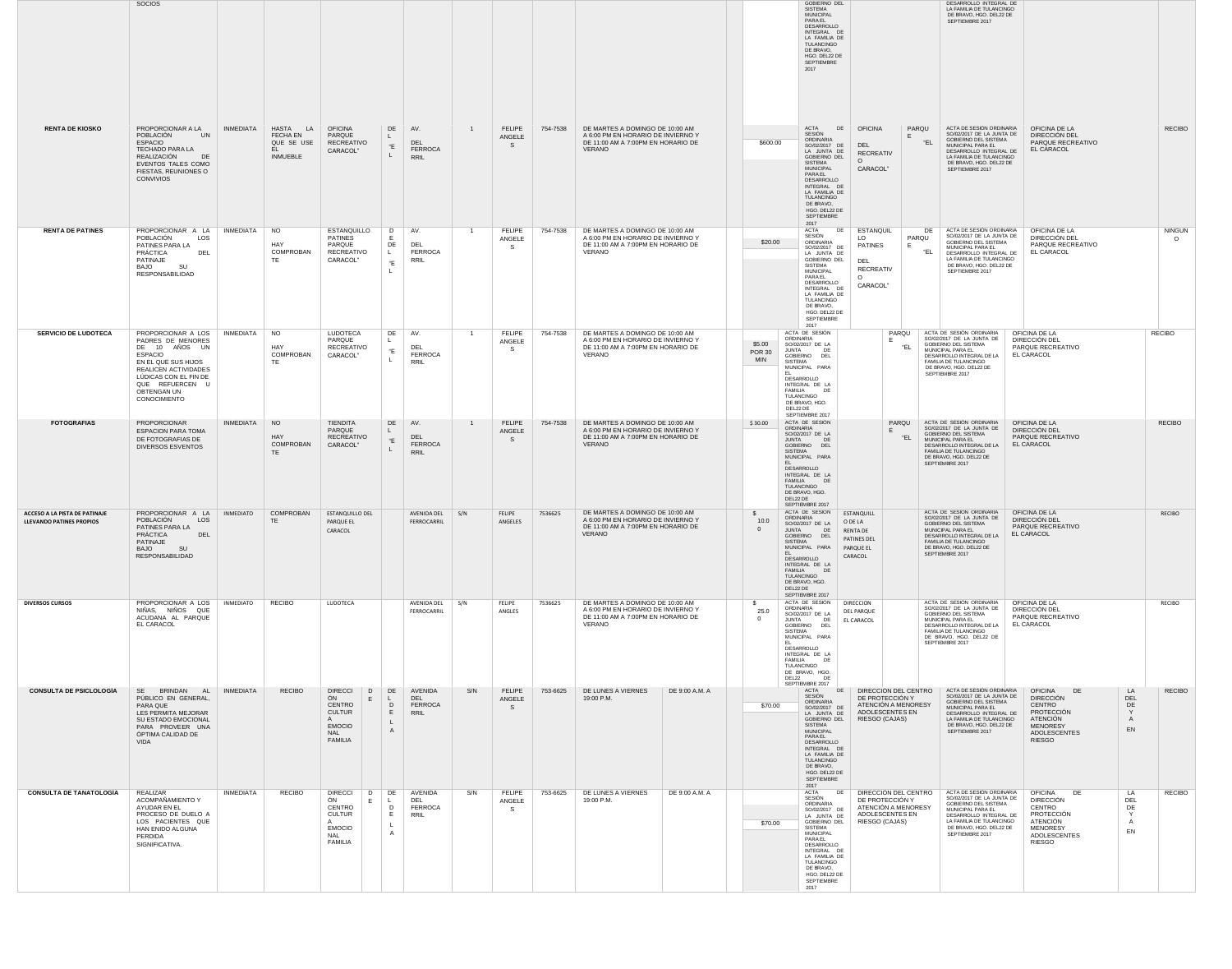|                                                                  | SOCIOS                                                                                                                                                                                               |                  |                                                              |                                                                                                             |                                                |                                      |                |                               |          |                                                                                                                              |                |                                                       | GOBIERNO DEL<br><b>SISTEMA</b><br><b>MUNICIPAL</b><br>PARAEL<br>DESARROLLO<br>INTEGRAL DE<br>LA FAMILIA DE<br>TULANCINGO<br>DE BRAVO,<br>HGO. DEL22 DE<br>SEPTIEMBRE<br>2017                                                                          |                                                                                                      | DESARROLLO INTEGRAL DE<br>LA FAMILIA DE TULANCINGO<br>DE BRAVO, HGO. DEL22 DE<br>SEPTIEMBRE 2017                                                                                                                    |                                                                                                                                         |                                                                      |
|------------------------------------------------------------------|------------------------------------------------------------------------------------------------------------------------------------------------------------------------------------------------------|------------------|--------------------------------------------------------------|-------------------------------------------------------------------------------------------------------------|------------------------------------------------|--------------------------------------|----------------|-------------------------------|----------|------------------------------------------------------------------------------------------------------------------------------|----------------|-------------------------------------------------------|-------------------------------------------------------------------------------------------------------------------------------------------------------------------------------------------------------------------------------------------------------|------------------------------------------------------------------------------------------------------|---------------------------------------------------------------------------------------------------------------------------------------------------------------------------------------------------------------------|-----------------------------------------------------------------------------------------------------------------------------------------|----------------------------------------------------------------------|
| <b>RENTA DE KIOSKO</b>                                           | PROPORCIONAR A LA<br>POBLACIÓN<br>UN<br><b>ESPACIO</b><br>TECHADO PARA LA<br>REALIZACIÓN<br>DE<br>EVENTOS TALES COMO<br>FIESTAS, REUNIONES O<br>CONVIVIOS                                            | INMEDIATA        | HASTA LA<br>FECHA EN<br>QUE SE USE<br>EL.<br><b>INMUEBLE</b> | <b>OFICINA</b><br>PARQUE<br>RECREATIVO<br>CARACOL"                                                          | DE<br>"E                                       | AV.<br>DEL<br><b>FERROCA</b><br>RRIL | $\overline{1}$ | <b>FELIPE</b><br>ANGELE<br>S. | 754-7538 | DE MARTES A DOMINGO DE 10:00 AM<br>A 6:00 PM EN HORARIO DE INVIERNO Y<br>DE 11:00 AM A 7:00PM EN HORARIO DE<br>VERANO        |                | \$600.00                                              | ACTA<br>DE  <br>SESIÓN<br>ORDINARIA<br>SO/02/2017 DE<br>LA JUNTA DE<br>GOBIERNO DEL<br>SISTEMA<br><b>MUNICIPAL</b><br>PARAEL<br>DESARROLLO<br>INTEGRAL DE<br>LA FAMILIA DE<br>TULANCINGO<br>DE BRAVO,<br>HGO. DEL22 DE<br>SEPTIEMBRE<br>2017          | <b>OFICINA</b><br>PARQU<br>DEL<br><b>RECREATIV</b><br>$\Omega$<br>CARACOL"                           | ACTA DE SESIÓN ORDINARIA<br>SO/02/2017 DE LA JUNTA DE<br>GOBIERNO DEL SISTEMA<br>"EL<br>MUNICIPAL PARA EL<br>DESARROLLO INTEGRAL DE<br>LA FAMILIA DE TULANCINGO<br>DE BRAVO, HGO. DEL22 DE<br>SEPTIEMBRE 2017       | OFICINA DE LA<br>DIRECCIÓN DEL<br>PARQUE RECREATIVO<br>EL CARACOL                                                                       | <b>RECIBO</b>                                                        |
| <b>RENTA DE PATINES</b>                                          | PROPORCIONAR A LA<br>POBLACIÓN<br>LOS<br>PATINES PARA LA<br>PRÁCTICA<br>DEL<br>PATINAJE<br>SU<br>BAJO<br>RESPONSABILIDAD                                                                             | INMEDIATA        | <b>NO</b><br>HAY<br>COMPROBAN<br>TE                          | ESTANQUILLO<br><b>PATINES</b><br>PARQUE<br>RECREATIVO<br>CARACOL"                                           | D<br>DE<br>$\mathsf{L}$<br>"E                  | AV.<br>DEL<br>FERROCA<br>RRIL        | $\overline{1}$ | <b>FELIPE</b><br>ANGELE<br>-S | 754-7538 | DE MARTES A DOMINGO DE 10:00 AM<br>A 6:00 PM EN HORARIO DE INVIERNO Y<br>DE 11:00 AM A 7:00PM EN HORARIO DE<br>VERANO        |                | \$20.00                                               | ACTA<br>DE<br>SESIÓN<br>ORDINARIA<br>SO/02/2017 DE<br>LA JUNTA DE<br>GOBIERNO DEL<br><b>SISTEMA</b><br>MUNICIPAL<br>PARAEL<br>DESARROLLO<br>INTEGRAL DE<br>LA FAMILIA DE<br>TULANCINGO<br>DE BRAVO,<br>HGO. DEL22 DE<br>SEPTIEMBRE<br>2017            | <b>ESTANQUIL</b><br>LO<br>PARQU<br><b>PATINES</b><br>DEL<br><b>RECREATIV</b><br>$\Omega$<br>CARACOL" | ACTA DE SESIÓN ORDINARIA<br>DE<br>SO/02/2017 DE LA JUNTA DE<br>GOBIERNO DEL SISTEMA<br>MUNICIPAL PARA EL<br>"EL<br>DESARROLLO INTEGRAL DE<br>LA FAMILIA DE TULANCINGO<br>DE BRAVO, HGO. DEL22 DE<br>SEPTIEMBRE 2017 | OFICINA DE LA<br>DIRECCIÓN DEL<br>PARQUE RECREATIVO<br>EL CARACOL                                                                       | <b>NINGUN</b><br>$\Omega$                                            |
| <b>SERVICIO DE LUDOTECA</b>                                      | PROPORCIONAR A LOS<br>PADRES DE MENORES<br>DE 10 AÑOS UN<br><b>ESPACIO</b><br>EN EL QUE SUS HIJOS<br>REALICEN ACTIVIDADES<br>LÚDICAS CON EL FIN DE<br>QUE REFUERCEN U<br>OBTENGAN UN<br>CONOCIMIENTO | INMEDIATA        | <b>NO</b><br>HAY<br>COMPROBAN<br>TE                          | LUDOTECA<br>PARQUE<br><b>RECREATIVO</b><br>CARACOL"                                                         | DE<br>"E                                       | AV.<br>DEL<br><b>FERROCA</b><br>RRIL | $\overline{1}$ | <b>FELIPE</b><br>ANGELE<br>-S | 754-7538 | DE MARTES A DOMINGO DE 10:00 AM<br>A 6:00 PM EN HORARIO DE INVIERNO Y<br>DE 11:00 AM A 7:00PM EN HORARIO DE<br>VERANO        |                | \$5.00<br><b>JUNTA</b><br><b>POR 30</b><br><b>MIN</b> | ACTA DE SESIÓN<br>ORDINARIA<br>SO/02/2017 DE LA<br>DF<br>GOBIERNO DEL<br><b>SISTEMA</b><br>MUNICIPAL PARA<br>DESARROLLO<br>INTEGRAL DE LA<br>FAMILIA<br>DE<br>TULANCINGO<br>DE BRAVO, HGO.<br>DEL22 DE                                                | PARQU<br>"EL                                                                                         | ACTA DE SESIÓN ORDINARIA<br>SO/02/2017 DE LA JUNTA DE<br>GOBIERNO DEL SISTEMA<br>MUNICIPAL PARA EL<br>DESARROLLO INTEGRAL DE LA<br>FAMILIA DE TULANCINGO<br>DE BRAVO, HGO. DEL22 DE<br>SEPTIEMBRE 2017              | OFICINA DE LA<br>DIRECCIÓN DEL<br>PARQUE RECREATIVO<br>EL CARACOL                                                                       | <b>RECIBO</b>                                                        |
| <b>FOTOGRAFIAS</b>                                               | PROPORCIONAR<br><b>ESPACION PARA TOMA</b><br>DE FOTOGRAFIAS DE<br><b>DIVERSOS ESVENTOS</b>                                                                                                           | INMEDIATA        | <b>NO</b><br>HAY<br>COMPROBAN<br>TE.                         | <b>TIENDITA</b><br>PARQUE<br><b>RECREATIVO</b><br>CARACOL"                                                  | DE<br>"E                                       | AV.<br>DEL<br><b>FERROCA</b><br>RRIL | $\mathbf{1}$   | <b>FELIPE</b><br>ANGELE<br>-S | 754-7538 | DE MARTES A DOMINGO DE 10:00 AM<br>A 6:00 PM EN HORARIO DE INVIERNO Y<br>DE 11:00 AM A 7:00PM EN HORARIO DE<br>VERANO        |                | \$30.00                                               | SEPTIEMBRE 2017<br>ACTA DE SESIÓN<br>ORDINARIA<br>SO/02/2017 DE LA<br>JUNTA<br>GOBIERNO DEL<br><b>SISTEMA</b><br>MUNICIPAL PARA<br>DESARROLLO<br>INTEGRAL DE LA<br>FAMILIA DE<br>TULANCINGO<br>DE BRAVO, HGO.<br>DEL22 DE                             | PARQU<br>"EL                                                                                         | ACTA DE SESIÓN ORDINARIA<br>SO/02/2017 DE LA JUNTA DE<br>GOBIERNO DEL SISTEMA<br>MUNICIPAL PARA EL<br>DESARROLLO INTEGRAL DE LA<br>FAMILIA DE TULANCINGO<br>DE BRAVO, HGO. DEL22 DE<br>SEPTIEMBRE 2017              | OFICINA DE LA<br>DIRECCIÓN DEL<br>PARQUE RECREATIVO<br>EL CARACOL                                                                       | <b>RECIBO</b>                                                        |
| ACCESO A LA PISTA DE PATINAJE<br><b>LLEVANDO PATINES PROPIOS</b> | PROPORCIONAR A LA<br>POBLACIÓN<br>LOS<br>PATINES PARA LA<br>PRÁCTICA<br>DEL<br>PATINAJE<br><b>BAJO</b><br>RESPONSABILIDAD                                                                            | <b>INMEDIATO</b> | COMPROBAN<br>TE.                                             | ESTANQUILLO DEL<br>PARQUE EL<br>CARACOL                                                                     |                                                | AVENIDA DEL<br>FERROCARRIL           | S/N            | <b>FELIPE</b><br>ANGELES      | 7536625  | DE MARTES A DOMINGO DE 10:00 AM<br>A 6:00 PM EN HORARIO DE INVIERNO Y<br>DE 11:00 AM A 7:00PM EN HORARIO DE<br><b>VERANO</b> |                | $\mathbb{S}$<br>10.0<br>$\mathbf{0}$<br>JUNTA         | SEPTIEMBRE 2017<br>ACTA DE SESIÓN<br>ORDINARIA<br>SO/02/2017 DE LA<br>DE<br>GOBIERNO DEL<br>SISTEMA<br>MUNICIPAL PARA<br>DESARROLLO<br>INTEGRAL DE LA<br>FAMILIA DE<br>TULANCINGO<br>DE BRAVO, HGO.<br>DEL22 DE<br>SEPTIEMBRE 2017                    | ESTANQUILL<br>O DE LA<br><b>RENTA DE</b><br>PATINES DEL<br>PARQUE EL<br>CARACOL                      | ACTA DE SESIÓN ORDINARIA<br>SO/02/2017 DE LA JUNTA DE<br>GOBIERNO DEL SISTEMA<br>MUNICIPAL PARA EL<br>DESARROLLO INTEGRAL DE LA<br>FAMILIA DE TULANCINGO<br>DE BRAVO, HGO. DEL22 DE<br>SEPTIEMBRE 2017              | OFICINA DE LA<br>DIRECCIÓN DEL<br>PARQUE RECREATIVO<br>EL CARACOL                                                                       | RECIBO                                                               |
| <b>DIVERSOS CURSOS</b>                                           | PROPORCIONAR A LOS<br>NIÑAS, NIÑOS QUE<br>ACUDANA AL PARQUE<br>EL CARACOL                                                                                                                            | <b>INMEDIATO</b> | <b>RECIBO</b>                                                | LUDOTECA                                                                                                    |                                                | AVENIDA DEL<br>FERROCARRIL           | S/N            | FELIPE<br>ANGLES              | 7536625  | DE MARTES A DOMINGO DE 10:00 AM<br>A 6:00 PM EN HORARIO DE INVIERNO Y<br>DE 11:00 AM A 7:00PM EN HORARIO DE<br>VERANO        |                | S.<br>25.0<br>$\mathbf{0}$<br><b>JUNTA</b><br>DEL22   | ACTA DE SESIÓN<br>ORDINARIA<br>SO/02/2017 DE LA<br>DE<br>GOBIERNO DEL<br>SISTEMA<br>MUNICIPAL PARA<br>DESARROLLO<br>INTEGRAL DE LA<br>FAMILIA<br>DE<br>TULANCINGO<br>DE BRAVO, HGO.<br>DF<br>SEPTIEMBRE 2017                                          | <b>DIRECCION</b><br>DEL PARQUE<br>EL CARACOL                                                         | ACTA DE SESIÓN ORDINARIA<br>SO/02/2017 DE LA JUNTA DE<br>GOBIERNO DEL SISTEMA<br>MUNICIPAL PARA EL<br>DESARROLLO INTEGRAL DE LA<br>FAMILIA DE TULANCINGO<br>DE BRAVO, HGO. DEL22 DE<br>SEPTIEMBRE 2017              | OFICINA DE LA<br>DIRECCIÓN DEL<br>PARQUE RECREATIVO<br>EL CARACOL                                                                       | <b>RECIBO</b>                                                        |
| <b>CONSULTA DE PSICLOLOGÍA</b>                                   | SE BRINDAN AL INMEDIATA<br>PÚBLICO EN GENERAL,<br>PARA QUE<br>LES PERMITA MEJORAR<br>SU ESTADO EMOCIONAL<br>PARA PROVEER UNA<br>ÓPTIMA CALIDAD DE<br><b>VIDA</b>                                     |                  | <b>RECIBO</b>                                                | <b>DIRECCI</b><br>D<br>ON<br>E.<br>CENTRO<br><b>CULTUR</b><br><b>EMOCIO</b><br>NAL<br><b>FAMILIA</b>        | DE<br>$\mathsf{L}$<br>D<br>E<br>A              | AVENIDA<br>DEL<br>FERROCA<br>RRIL    | S/N            | <b>FELIPE</b><br>ANGELE<br>S. | 753-6625 | DE LUNES A VIERNES<br>19:00 P.M.                                                                                             | DE 9:00 A.M. A | \$70.00                                               | ACTA DE<br>SESIÓN<br>ORDINARIA<br>SO/02/2017 DE<br>IA JUNTA DE<br><b>GOBIERNO DEL</b><br><b>SISTEMA</b><br><b>MUNICIPAL</b><br>PARAEL<br>DESARROLLO<br>INTEGRAL DE<br>LA FAMILIA DE<br>TULANCINGO<br>DE BRAVO,<br>HGO. DEL22 DE<br>SEPTIEMBRE<br>2017 | DIRECCIÓN DEL CENTRO<br>DE PROTECCIÓN Y<br>ATENCIÓN A MENORESY<br>ADOLESCENTES EN<br>RIESGO (CAJAS)  | ACTA DE SESIÓN ORDINARIA<br>SO/02/2017 DE LA JUNTA DE<br>GOBIERNO DEL SISTEMA<br>MUNICIPAL PARA EL<br>DESARROLLO INTEGRAL DE<br>LA FAMILIA DE TULANCINGO<br>DE BRAVO, HGO. DEL22 DE<br>SEPTIEMBRE 2017              | <b>OFICINA</b><br>DE<br><b>DIRECCIÓN</b><br>CENTRO<br>PROTECCIÓN<br><b>ATENCIÓN</b><br><b>MENORESY</b><br>ADOLESCENTES<br><b>RIESGO</b> | <b>RECIBO</b><br>LA<br>DEL<br>DE<br>$\overline{A}$<br>EN             |
| <b>CONSULTA DE TANATOLOGÍA</b>                                   | REALIZAR<br>ACOMPAÑAMIENTO Y<br>AYUDAR EN EL<br>PROCESO DE DUELO A<br>LOS PACIENTES QUE<br>HAN ENIDO ALGUNA<br>PERDIDA<br>SIGNIFICATIVA.                                                             | <b>INMEDIATA</b> | <b>RECIBO</b>                                                | <b>DIRECCI</b><br>D<br>ON<br>E.<br>CENTRO<br><b>CULTUR</b><br><b>EMOCIO</b><br><b>NAL</b><br><b>FAMILIA</b> | DE<br>$\mathsf{L}$<br>D<br>E<br>$\overline{A}$ | AVENIDA<br>DEL<br>FERROCA<br>RRIL    | S/N            | <b>FELIPE</b><br>ANGELE<br>-S | 753-6625 | DE LUNES A VIERNES<br>19:00 P.M.                                                                                             | DE 9:00 A.M. A | \$70.00                                               | ACTA<br>DE<br>SESIÓN<br>ORDINARIA<br>SO/02/2017 DE<br>LA JUNTA DE<br>GOBIERNO DEL<br><b>SISTEMA</b><br><b>MUNICIPAL</b><br>PARAEL<br>DESARROLLO<br>INTEGRAL DE<br>LA FAMILIA DE<br>TULANCINGO<br>DE BRAVO.<br>HGO. DEL22 DE<br>SEPTIEMBRE<br>2017     | DIRECCIÓN DEL CENTRO<br>DE PROTECCIÓN Y<br>ATENCIÓN A MENORESY<br>ADOLESCENTES EN<br>RIESGO (CAJAS)  | ACTA DE SESIÓN ORDINARIA<br>SO/02/2017 DE LA JUNTA DE<br>GOBIERNO DEL SISTEMA<br>MUNICIPAL PARA EL<br>DESARROLLO INTEGRAL DE<br>LA FAMILIA DE TULANCINGO<br>DE BRAVO, HGO. DEL22 DE<br>SEPTIEMBRE 2017              | <b>OFICINA</b><br>DE<br><b>DIRECCIÓN</b><br>CENTRO<br>PROTECCIÓN<br><b>ATENCIÓN</b><br><b>MENORESY</b><br><b>ADOLESCENTES</b><br>RIESGO | <b>RECIBO</b><br>LA<br>DEL<br>DE<br><b>Y</b><br>$\overline{A}$<br>EN |